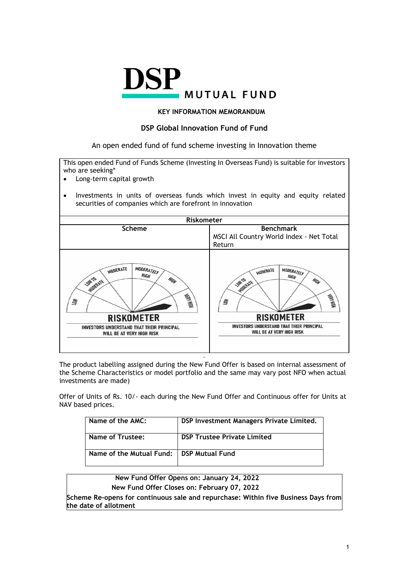

### **KEY INFORMATION MEMORANDUM**

## **DSP Global Innovation Fund of Fund**

An open ended fund of fund scheme investing in Innovation theme

This open ended Fund of Funds Scheme (Investing In Overseas Fund) is suitable for investors who are seeking\*

- Long-term capital growth
- Investments in units of overseas funds which invest in equity and equity related securities of companies which are forefront in innovation



The product labelling assigned during the New Fund Offer is based on internal assessment of the Scheme Characteristics or model portfolio and the same may vary post NFO when actual investments are made)

Offer of Units of Rs. 10/- each during the New Fund Offer and Continuous offer for Units at NAV based prices.

| Name of the AMC:         | DSP Investment Managers Private Limited. |
|--------------------------|------------------------------------------|
| Name of Trustee:         | <b>DSP Trustee Private Limited</b>       |
| Name of the Mutual Fund: | <b>DSP Mutual Fund</b>                   |

# **New Fund Offer Opens on: January 24, 2022**

**New Fund Offer Closes on: February 07, 2022**

**Scheme Re-opens for continuous sale and repurchase: Within five Business Days from the date of allotment**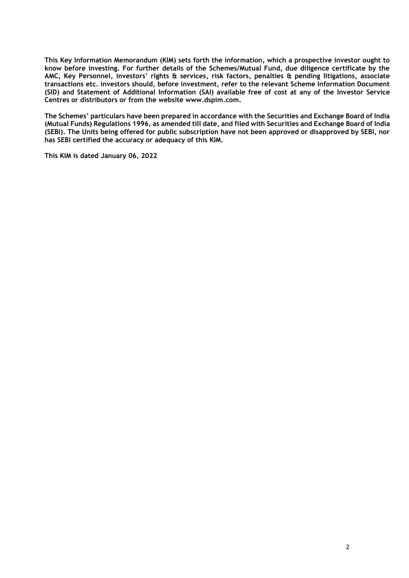**This Key Information Memorandum (KIM) sets forth the information, which a prospective investor ought to know before investing. For further details of the Schemes/Mutual Fund, due diligence certificate by the AMC, Key Personnel, investors' rights & services, risk factors, penalties & pending litigations, associate transactions etc. investors should, before investment, refer to the relevant Scheme Information Document (SID) and Statement of Additional Information (SAI) available free of cost at any of the Investor Service Centres or distributors or from the website www.dspim.com.** 

**The Schemes' particulars have been prepared in accordance with the Securities and Exchange Board of India (Mutual Funds) Regulations 1996, as amended till date, and filed with Securities and Exchange Board of India (SEBI). The Units being offered for public subscription have not been approved or disapproved by SEBI, nor has SEBI certified the accuracy or adequacy of this KIM.** 

**This KIM is dated January 06, 2022**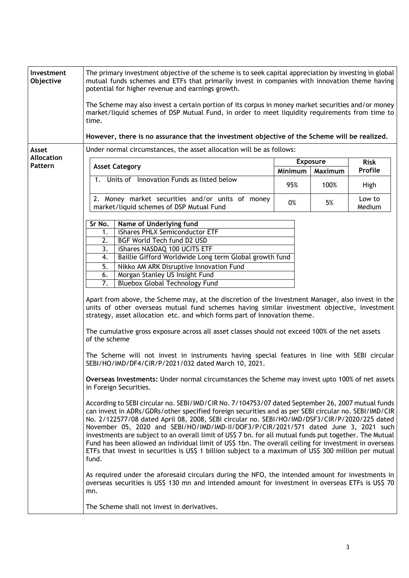| Investment<br>Objective    | The primary investment objective of the scheme is to seek capital appreciation by investing in global<br>mutual funds schemes and ETFs that primarily invest in companies with innovation theme having<br>potential for higher revenue and earnings growth.                                                                                                                                                                                                                                                                                                                                                                                                                                                                                                                                                                                                                                                                                                                                                                                                                                                                                                                                                                                                                                                                                                                                                                                                                                                                                                                                                                                                                                                                                                                                                                                                                                                                                                                                                                                                    |                                       |      |                        |  |
|----------------------------|----------------------------------------------------------------------------------------------------------------------------------------------------------------------------------------------------------------------------------------------------------------------------------------------------------------------------------------------------------------------------------------------------------------------------------------------------------------------------------------------------------------------------------------------------------------------------------------------------------------------------------------------------------------------------------------------------------------------------------------------------------------------------------------------------------------------------------------------------------------------------------------------------------------------------------------------------------------------------------------------------------------------------------------------------------------------------------------------------------------------------------------------------------------------------------------------------------------------------------------------------------------------------------------------------------------------------------------------------------------------------------------------------------------------------------------------------------------------------------------------------------------------------------------------------------------------------------------------------------------------------------------------------------------------------------------------------------------------------------------------------------------------------------------------------------------------------------------------------------------------------------------------------------------------------------------------------------------------------------------------------------------------------------------------------------------|---------------------------------------|------|------------------------|--|
|                            | The Scheme may also invest a certain portion of its corpus in money market securities and/or money<br>market/liquid schemes of DSP Mutual Fund, in order to meet liquidity requirements from time to<br>time.                                                                                                                                                                                                                                                                                                                                                                                                                                                                                                                                                                                                                                                                                                                                                                                                                                                                                                                                                                                                                                                                                                                                                                                                                                                                                                                                                                                                                                                                                                                                                                                                                                                                                                                                                                                                                                                  |                                       |      |                        |  |
|                            | However, there is no assurance that the investment objective of the Scheme will be realized.                                                                                                                                                                                                                                                                                                                                                                                                                                                                                                                                                                                                                                                                                                                                                                                                                                                                                                                                                                                                                                                                                                                                                                                                                                                                                                                                                                                                                                                                                                                                                                                                                                                                                                                                                                                                                                                                                                                                                                   |                                       |      |                        |  |
| Asset<br><b>Allocation</b> | Under normal circumstances, the asset allocation will be as follows:                                                                                                                                                                                                                                                                                                                                                                                                                                                                                                                                                                                                                                                                                                                                                                                                                                                                                                                                                                                                                                                                                                                                                                                                                                                                                                                                                                                                                                                                                                                                                                                                                                                                                                                                                                                                                                                                                                                                                                                           |                                       |      |                        |  |
| Pattern                    | <b>Asset Category</b>                                                                                                                                                                                                                                                                                                                                                                                                                                                                                                                                                                                                                                                                                                                                                                                                                                                                                                                                                                                                                                                                                                                                                                                                                                                                                                                                                                                                                                                                                                                                                                                                                                                                                                                                                                                                                                                                                                                                                                                                                                          | <b>Exposure</b><br>Minimum<br>Maximum |      | <b>Risk</b><br>Profile |  |
|                            | 1. Units of Innovation Funds as listed below                                                                                                                                                                                                                                                                                                                                                                                                                                                                                                                                                                                                                                                                                                                                                                                                                                                                                                                                                                                                                                                                                                                                                                                                                                                                                                                                                                                                                                                                                                                                                                                                                                                                                                                                                                                                                                                                                                                                                                                                                   | 95%                                   | 100% | High                   |  |
|                            | 2. Money market securities and/or units of money<br>market/liquid schemes of DSP Mutual Fund                                                                                                                                                                                                                                                                                                                                                                                                                                                                                                                                                                                                                                                                                                                                                                                                                                                                                                                                                                                                                                                                                                                                                                                                                                                                                                                                                                                                                                                                                                                                                                                                                                                                                                                                                                                                                                                                                                                                                                   | 0%                                    | 5%   | Low to<br>Medium       |  |
|                            | Name of Underlying fund<br>Sr No.<br>iShares PHLX Semiconductor ETF<br>1.<br>2.<br>BGF World Tech fund D2 USD<br>iShares NASDAQ 100 UCITS ETF<br>3.<br>Baillie Gifford Worldwide Long term Global growth fund<br>4.<br>5.<br>Nikko AM ARK Disruptive Innovation Fund<br>Morgan Stanley US Insight Fund<br>6.<br>7.<br><b>Bluebox Global Technology Fund</b><br>Apart from above, the Scheme may, at the discretion of the Investment Manager, also invest in the<br>units of other overseas mutual fund schemes having similar investment objective, investment<br>strategy, asset allocation etc. and which forms part of Innovation theme.<br>The cumulative gross exposure across all asset classes should not exceed 100% of the net assets<br>of the scheme<br>The Scheme will not invest in instruments having special features in line with SEBI circular<br>SEBI/HO/IMD/DF4/CIR/P/2021/032 dated March 10, 2021.<br>Overseas Investments: Under normal circumstances the Scheme may invest upto 100% of net assets<br>in Foreign Securities.<br>According to SEBI circular no. SEBI/IMD/CIR No. 7/104753/07 dated September 26, 2007 mutual funds<br>can invest in ADRs/GDRs/other specified foreign securities and as per SEBI circular no. SEBI/IMD/CIR<br>No. 2/122577/08 dated April 08, 2008, SEBI circular no. SEBI/HO/IMD/DSF3/CIR/P/2020/225 dated<br>November 05, 2020 and SEBI/HO/IMD/IMD-II/DOF3/P/CIR/2021/571 dated June 3, 2021 such<br>investments are subject to an overall limit of US\$ 7 bn. for all mutual funds put together. The Mutual<br>Fund has been allowed an individual limit of US\$ 1bn. The overall ceiling for investment in overseas<br>ETFs that invest in securities is US\$ 1 billion subject to a maximum of US\$ 300 million per mutual<br>fund.<br>As required under the aforesaid circulars during the NFO, the intended amount for investments in<br>overseas securities is US\$ 130 mn and intended amount for investment in overseas ETFs is US\$ 70<br>mn.<br>The Scheme shall not invest in derivatives. |                                       |      |                        |  |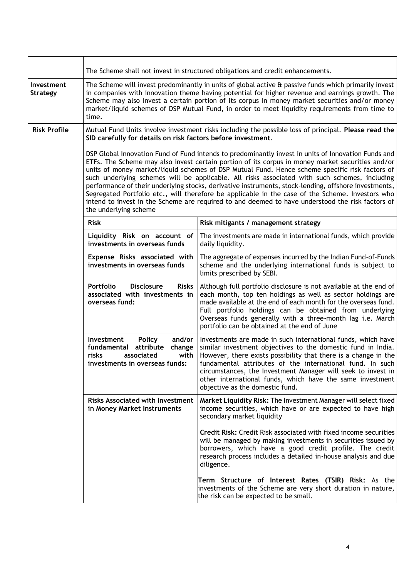|                                      | The Scheme shall not invest in structured obligations and credit enhancements.                                                                                                                                                                                                                                                                                                                                                                                                                                                                                                                                                                                                                                                                      |                                                                                                                                                                                                                                                                                                                                                                                                                              |  |  |  |  |
|--------------------------------------|-----------------------------------------------------------------------------------------------------------------------------------------------------------------------------------------------------------------------------------------------------------------------------------------------------------------------------------------------------------------------------------------------------------------------------------------------------------------------------------------------------------------------------------------------------------------------------------------------------------------------------------------------------------------------------------------------------------------------------------------------------|------------------------------------------------------------------------------------------------------------------------------------------------------------------------------------------------------------------------------------------------------------------------------------------------------------------------------------------------------------------------------------------------------------------------------|--|--|--|--|
| <b>Investment</b><br><b>Strategy</b> | The Scheme will invest predominantly in units of global active & passive funds which primarily invest<br>in companies with innovation theme having potential for higher revenue and earnings growth. The<br>Scheme may also invest a certain portion of its corpus in money market securities and/or money<br>market/liquid schemes of DSP Mutual Fund, in order to meet liquidity requirements from time to<br>time.                                                                                                                                                                                                                                                                                                                               |                                                                                                                                                                                                                                                                                                                                                                                                                              |  |  |  |  |
| <b>Risk Profile</b>                  | SID carefully for details on risk factors before investment.                                                                                                                                                                                                                                                                                                                                                                                                                                                                                                                                                                                                                                                                                        | Mutual Fund Units involve investment risks including the possible loss of principal. Please read the                                                                                                                                                                                                                                                                                                                         |  |  |  |  |
|                                      | DSP Global Innovation Fund of Fund intends to predominantly invest in units of Innovation Funds and<br>ETFs. The Scheme may also invest certain portion of its corpus in money market securities and/or<br>units of money market/liquid schemes of DSP Mutual Fund. Hence scheme specific risk factors of<br>such underlying schemes will be applicable. All risks associated with such schemes, including<br>performance of their underlying stocks, derivative instruments, stock-lending, offshore investments,<br>Segregated Portfolio etc., will therefore be applicable in the case of the Scheme. Investors who<br>intend to invest in the Scheme are required to and deemed to have understood the risk factors of<br>the underlying scheme |                                                                                                                                                                                                                                                                                                                                                                                                                              |  |  |  |  |
|                                      | <b>Risk</b>                                                                                                                                                                                                                                                                                                                                                                                                                                                                                                                                                                                                                                                                                                                                         | Risk mitigants / management strategy                                                                                                                                                                                                                                                                                                                                                                                         |  |  |  |  |
|                                      | Liquidity Risk on account of<br>The investments are made in international funds, which provide<br>investments in overseas funds<br>daily liquidity.                                                                                                                                                                                                                                                                                                                                                                                                                                                                                                                                                                                                 |                                                                                                                                                                                                                                                                                                                                                                                                                              |  |  |  |  |
|                                      | Expense Risks associated with<br>investments in overseas funds                                                                                                                                                                                                                                                                                                                                                                                                                                                                                                                                                                                                                                                                                      | The aggregate of expenses incurred by the Indian Fund-of-Funds<br>scheme and the underlying international funds is subject to<br>limits prescribed by SEBI.                                                                                                                                                                                                                                                                  |  |  |  |  |
|                                      | Although full portfolio disclosure is not available at the end of<br>each month, top ten holdings as well as sector holdings are<br>made available at the end of each month for the overseas fund.<br>Full portfolio holdings can be obtained from underlying<br>Overseas funds generally with a three-month lag i.e. March<br>portfolio can be obtained at the end of June                                                                                                                                                                                                                                                                                                                                                                         |                                                                                                                                                                                                                                                                                                                                                                                                                              |  |  |  |  |
|                                      | <b>Policy</b><br>and/or<br>Investment<br>fundamental attribute<br>change<br>risks<br>associated<br>with<br>investments in overseas funds:                                                                                                                                                                                                                                                                                                                                                                                                                                                                                                                                                                                                           | Investments are made in such international funds, which have<br>similar investment objectives to the domestic fund in India.<br>However, there exists possibility that there is a change in the<br>fundamental attributes of the international fund. In such<br>circumstances, the Investment Manager will seek to invest in<br>other international funds, which have the same investment<br>objective as the domestic fund. |  |  |  |  |
|                                      | <b>Risks Associated with Investment</b><br>in Money Market Instruments                                                                                                                                                                                                                                                                                                                                                                                                                                                                                                                                                                                                                                                                              | Market Liquidity Risk: The Investment Manager will select fixed<br>income securities, which have or are expected to have high<br>secondary market liquidity                                                                                                                                                                                                                                                                  |  |  |  |  |
|                                      |                                                                                                                                                                                                                                                                                                                                                                                                                                                                                                                                                                                                                                                                                                                                                     | <b>Credit Risk: Credit Risk associated with fixed income securities</b><br>will be managed by making investments in securities issued by<br>borrowers, which have a good credit profile. The credit<br>research process includes a detailed in-house analysis and due<br>diligence.                                                                                                                                          |  |  |  |  |
|                                      |                                                                                                                                                                                                                                                                                                                                                                                                                                                                                                                                                                                                                                                                                                                                                     | <b>Term Structure of Interest Rates (TSIR) Risk:</b> As the<br>investments of the Scheme are very short duration in nature,<br>the risk can be expected to be small.                                                                                                                                                                                                                                                         |  |  |  |  |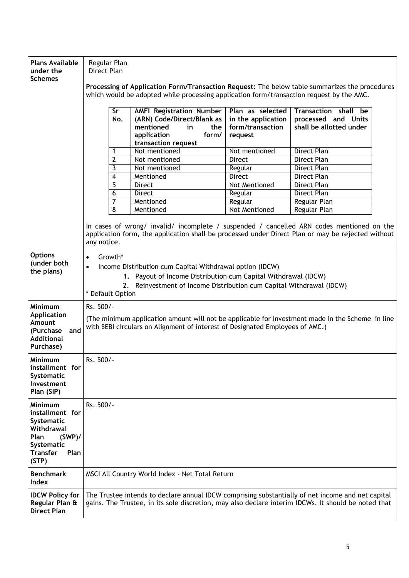| <b>Plans Available</b><br>under the<br><b>Schemes</b>                                                                                | Regular Plan<br>Direct Plan                                                                                                                                                                                                                                 |     |                                                                                                                                        |                                                                       |                                                                                                                                                                                                |  |
|--------------------------------------------------------------------------------------------------------------------------------------|-------------------------------------------------------------------------------------------------------------------------------------------------------------------------------------------------------------------------------------------------------------|-----|----------------------------------------------------------------------------------------------------------------------------------------|-----------------------------------------------------------------------|------------------------------------------------------------------------------------------------------------------------------------------------------------------------------------------------|--|
|                                                                                                                                      | Processing of Application Form/Transaction Request: The below table summarizes the procedures<br>which would be adopted while processing application form/transaction request by the AMC.                                                                   |     |                                                                                                                                        |                                                                       |                                                                                                                                                                                                |  |
|                                                                                                                                      | Sr                                                                                                                                                                                                                                                          | No. | <b>AMFI Registration Number</b><br>(ARN) Code/Direct/Blank as<br>mentioned<br>in<br>the<br>form/<br>application<br>transaction request | Plan as selected<br>in the application<br>form/transaction<br>request | Transaction shall be<br>processed and Units<br>shall be allotted under                                                                                                                         |  |
|                                                                                                                                      | 1                                                                                                                                                                                                                                                           |     | Not mentioned                                                                                                                          | Not mentioned                                                         | <b>Direct Plan</b>                                                                                                                                                                             |  |
|                                                                                                                                      | $\overline{2}$                                                                                                                                                                                                                                              |     | Not mentioned                                                                                                                          | <b>Direct</b>                                                         | Direct Plan                                                                                                                                                                                    |  |
|                                                                                                                                      | 3                                                                                                                                                                                                                                                           |     | Not mentioned                                                                                                                          | Regular                                                               | Direct Plan                                                                                                                                                                                    |  |
|                                                                                                                                      | 4                                                                                                                                                                                                                                                           |     | Mentioned                                                                                                                              | Direct                                                                | <b>Direct Plan</b>                                                                                                                                                                             |  |
|                                                                                                                                      | 5                                                                                                                                                                                                                                                           |     | Direct                                                                                                                                 | Not Mentioned                                                         | Direct Plan                                                                                                                                                                                    |  |
|                                                                                                                                      | 6                                                                                                                                                                                                                                                           |     | Direct                                                                                                                                 | Regular                                                               | <b>Direct Plan</b>                                                                                                                                                                             |  |
|                                                                                                                                      | 7                                                                                                                                                                                                                                                           |     | Mentioned                                                                                                                              | Regular                                                               | Regular Plan                                                                                                                                                                                   |  |
|                                                                                                                                      | 8                                                                                                                                                                                                                                                           |     | Mentioned                                                                                                                              | Not Mentioned                                                         | <b>Regular Plan</b>                                                                                                                                                                            |  |
|                                                                                                                                      | any notice.                                                                                                                                                                                                                                                 |     |                                                                                                                                        |                                                                       | In cases of wrong/ invalid/ incomplete / suspended / cancelled ARN codes mentioned on the<br>application form, the application shall be processed under Direct Plan or may be rejected without |  |
| <b>Options</b><br>(under both<br>the plans)                                                                                          | Growth*<br>$\bullet$<br>Income Distribution cum Capital Withdrawal option (IDCW)<br>$\bullet$<br>1. Payout of Income Distribution cum Capital Withdrawal (IDCW)<br>2. Reinvestment of Income Distribution cum Capital Withdrawal (IDCW)<br>* Default Option |     |                                                                                                                                        |                                                                       |                                                                                                                                                                                                |  |
| Minimum<br><b>Application</b><br>Amount<br>and<br>(Purchase<br><b>Additional</b><br>Purchase)                                        | Rs. 500/-<br>(The minimum application amount will not be applicable for investment made in the Scheme in line<br>with SEBI circulars on Alignment of interest of Designated Employees of AMC.)                                                              |     |                                                                                                                                        |                                                                       |                                                                                                                                                                                                |  |
| Minimum<br>installment for<br>Systematic<br>Investment<br>Plan (SIP)                                                                 | Rs. 500/-                                                                                                                                                                                                                                                   |     |                                                                                                                                        |                                                                       |                                                                                                                                                                                                |  |
| <b>Minimum</b><br>installment for<br>Systematic<br>Withdrawal<br>Plan<br>$(SWP)$ /<br>Systematic<br><b>Transfer</b><br>Plan<br>(STP) | Rs. 500/-                                                                                                                                                                                                                                                   |     |                                                                                                                                        |                                                                       |                                                                                                                                                                                                |  |
| <b>Benchmark</b><br><b>Index</b>                                                                                                     |                                                                                                                                                                                                                                                             |     | MSCI All Country World Index - Net Total Return                                                                                        |                                                                       |                                                                                                                                                                                                |  |
| <b>IDCW Policy for</b><br>Regular Plan &<br><b>Direct Plan</b>                                                                       | The Trustee intends to declare annual IDCW comprising substantially of net income and net capital<br>gains. The Trustee, in its sole discretion, may also declare interim IDCWs. It should be noted that                                                    |     |                                                                                                                                        |                                                                       |                                                                                                                                                                                                |  |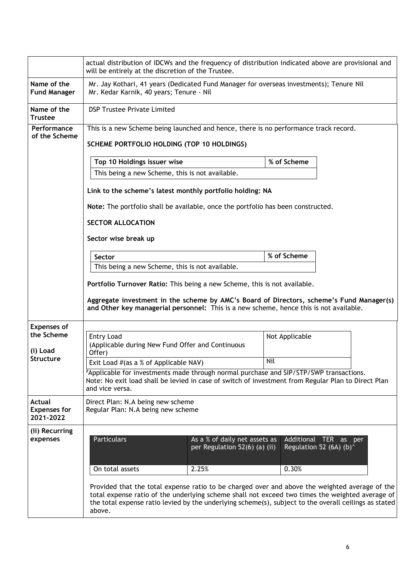|                                                   | actual distribution of IDCWs and the frequency of distribution indicated above are provisional and<br>will be entirely at the discretion of the Trustee.                                                                                                                                                             |                                                                |             |                                                               |  |  |  |
|---------------------------------------------------|----------------------------------------------------------------------------------------------------------------------------------------------------------------------------------------------------------------------------------------------------------------------------------------------------------------------|----------------------------------------------------------------|-------------|---------------------------------------------------------------|--|--|--|
| Name of the<br><b>Fund Manager</b>                | Mr. Jay Kothari, 41 years (Dedicated Fund Manager for overseas investments); Tenure Nil<br>Mr. Kedar Karnik, 40 years; Tenure - Nil                                                                                                                                                                                  |                                                                |             |                                                               |  |  |  |
| Name of the<br><b>Trustee</b>                     | <b>DSP Trustee Private Limited</b>                                                                                                                                                                                                                                                                                   |                                                                |             |                                                               |  |  |  |
| Performance<br>of the Scheme                      | This is a new Scheme being launched and hence, there is no performance track record.                                                                                                                                                                                                                                 |                                                                |             |                                                               |  |  |  |
|                                                   | SCHEME PORTFOLIO HOLDING (TOP 10 HOLDINGS)                                                                                                                                                                                                                                                                           |                                                                |             |                                                               |  |  |  |
|                                                   | Top 10 Holdings issuer wise<br>% of Scheme                                                                                                                                                                                                                                                                           |                                                                |             |                                                               |  |  |  |
|                                                   | This being a new Scheme, this is not available.                                                                                                                                                                                                                                                                      |                                                                |             |                                                               |  |  |  |
|                                                   | Link to the scheme's latest monthly portfolio holding: NA                                                                                                                                                                                                                                                            |                                                                |             |                                                               |  |  |  |
|                                                   | Note: The portfolio shall be available, once the portfolio has been constructed.                                                                                                                                                                                                                                     |                                                                |             |                                                               |  |  |  |
|                                                   | <b>SECTOR ALLOCATION</b>                                                                                                                                                                                                                                                                                             |                                                                |             |                                                               |  |  |  |
|                                                   | Sector wise break up                                                                                                                                                                                                                                                                                                 |                                                                |             |                                                               |  |  |  |
|                                                   | Sector                                                                                                                                                                                                                                                                                                               |                                                                | % of Scheme |                                                               |  |  |  |
|                                                   | This being a new Scheme, this is not available.                                                                                                                                                                                                                                                                      |                                                                |             |                                                               |  |  |  |
|                                                   | Portfolio Turnover Ratio: This being a new Scheme, this is not available.                                                                                                                                                                                                                                            |                                                                |             |                                                               |  |  |  |
|                                                   | Aggregate investment in the scheme by AMC's Board of Directors, scheme's Fund Manager(s)<br>and Other key managerial personnel: This is a new scheme, hence this is not available.                                                                                                                                   |                                                                |             |                                                               |  |  |  |
| <b>Expenses of</b>                                |                                                                                                                                                                                                                                                                                                                      |                                                                |             |                                                               |  |  |  |
| the Scheme<br>(i) Load                            | <b>Entry Load</b><br>Not Applicable<br>(Applicable during New Fund Offer and Continuous<br>Offer)                                                                                                                                                                                                                    |                                                                |             |                                                               |  |  |  |
| <b>Structure</b>                                  | Exit Load #(as a % of Applicable NAV)                                                                                                                                                                                                                                                                                |                                                                | Nil         |                                                               |  |  |  |
|                                                   | #Applicable for investments made through normal purchase and SIP/STP/SWP transactions.<br>Note: No exit load shall be levied in case of switch of investment from Regular Plan to Direct Plan<br>and vice versa.                                                                                                     |                                                                |             |                                                               |  |  |  |
| <b>Actual</b><br><b>Expenses for</b><br>2021-2022 | Direct Plan: N.A being new scheme<br>Regular Plan: N.A being new scheme                                                                                                                                                                                                                                              |                                                                |             |                                                               |  |  |  |
| (ii) Recurring<br>expenses                        | <b>Particulars</b>                                                                                                                                                                                                                                                                                                   | As a % of daily net assets as<br>per Regulation 52(6) (a) (ii) |             | Additional TER as per<br>Regulation 52 (6A) (b) $\textdegree$ |  |  |  |
|                                                   | On total assets                                                                                                                                                                                                                                                                                                      | 2.25%                                                          | 0.30%       |                                                               |  |  |  |
|                                                   | Provided that the total expense ratio to be charged over and above the weighted average of the<br>total expense ratio of the underlying scheme shall not exceed two times the weighted average of<br>the total expense ratio levied by the underlying scheme(s), subject to the overall ceilings as stated<br>above. |                                                                |             |                                                               |  |  |  |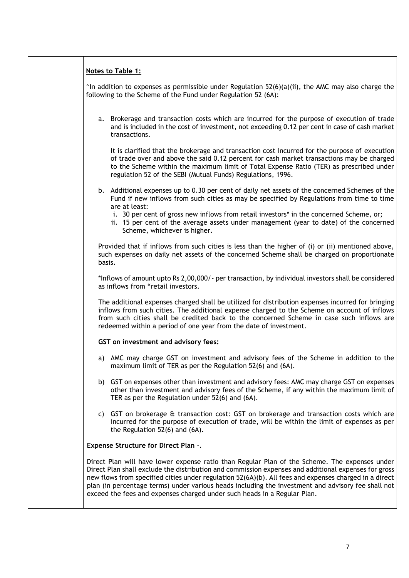| Notes to Table 1:                                                                                                                                                                                                                                                                                                                                                                                                                                                                                |
|--------------------------------------------------------------------------------------------------------------------------------------------------------------------------------------------------------------------------------------------------------------------------------------------------------------------------------------------------------------------------------------------------------------------------------------------------------------------------------------------------|
| $\textdegree$ In addition to expenses as permissible under Regulation 52(6)(a)(ii), the AMC may also charge the<br>following to the Scheme of the Fund under Regulation 52 (6A):                                                                                                                                                                                                                                                                                                                 |
| a. Brokerage and transaction costs which are incurred for the purpose of execution of trade<br>and is included in the cost of investment, not exceeding 0.12 per cent in case of cash market<br>transactions.                                                                                                                                                                                                                                                                                    |
| It is clarified that the brokerage and transaction cost incurred for the purpose of execution<br>of trade over and above the said 0.12 percent for cash market transactions may be charged<br>to the Scheme within the maximum limit of Total Expense Ratio (TER) as prescribed under<br>regulation 52 of the SEBI (Mutual Funds) Regulations, 1996.                                                                                                                                             |
| b. Additional expenses up to 0.30 per cent of daily net assets of the concerned Schemes of the<br>Fund if new inflows from such cities as may be specified by Regulations from time to time<br>are at least:                                                                                                                                                                                                                                                                                     |
| i. 30 per cent of gross new inflows from retail investors* in the concerned Scheme, or;<br>ii. 15 per cent of the average assets under management (year to date) of the concerned<br>Scheme, whichever is higher.                                                                                                                                                                                                                                                                                |
| Provided that if inflows from such cities is less than the higher of (i) or (ii) mentioned above,<br>such expenses on daily net assets of the concerned Scheme shall be charged on proportionate<br>basis.                                                                                                                                                                                                                                                                                       |
| *Inflows of amount upto Rs 2,00,000/- per transaction, by individual investors shall be considered<br>as inflows from "retail investors.                                                                                                                                                                                                                                                                                                                                                         |
| The additional expenses charged shall be utilized for distribution expenses incurred for bringing<br>inflows from such cities. The additional expense charged to the Scheme on account of inflows<br>from such cities shall be credited back to the concerned Scheme in case such inflows are<br>redeemed within a period of one year from the date of investment.                                                                                                                               |
| GST on investment and advisory fees:                                                                                                                                                                                                                                                                                                                                                                                                                                                             |
| a) AMC may charge GST on investment and advisory fees of the Scheme in addition to the<br>maximum limit of TER as per the Regulation 52(6) and (6A).                                                                                                                                                                                                                                                                                                                                             |
| b) GST on expenses other than investment and advisory fees: AMC may charge GST on expenses<br>other than investment and advisory fees of the Scheme, if any within the maximum limit of<br>TER as per the Regulation under 52(6) and (6A).                                                                                                                                                                                                                                                       |
| c) GST on brokerage & transaction cost: GST on brokerage and transaction costs which are<br>incurred for the purpose of execution of trade, will be within the limit of expenses as per<br>the Regulation 52(6) and (6A).                                                                                                                                                                                                                                                                        |
| Expense Structure for Direct Plan -.                                                                                                                                                                                                                                                                                                                                                                                                                                                             |
| Direct Plan will have lower expense ratio than Regular Plan of the Scheme. The expenses under<br>Direct Plan shall exclude the distribution and commission expenses and additional expenses for gross<br>new flows from specified cities under regulation 52(6A)(b). All fees and expenses charged in a direct<br>plan (in percentage terms) under various heads including the investment and advisory fee shall not<br>exceed the fees and expenses charged under such heads in a Regular Plan. |
|                                                                                                                                                                                                                                                                                                                                                                                                                                                                                                  |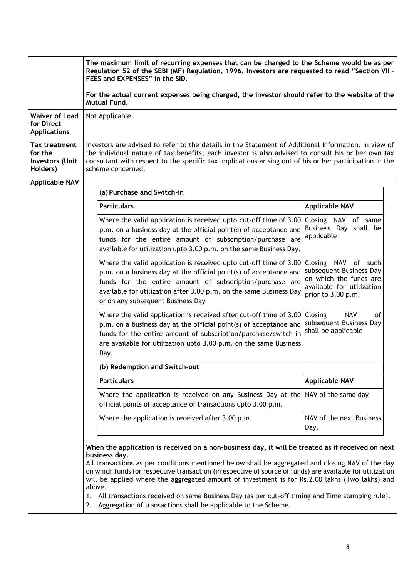|                                                                       | The maximum limit of recurring expenses that can be charged to the Scheme would be as per<br>Regulation 52 of the SEBI (MF) Regulation, 1996. Investors are requested to read "Section VII -<br>FEES and EXPENSES" in the SID.                                                                                                                                                                                                                                                                                                                                                                                                |                                                                                                      |  |  |  |  |
|-----------------------------------------------------------------------|-------------------------------------------------------------------------------------------------------------------------------------------------------------------------------------------------------------------------------------------------------------------------------------------------------------------------------------------------------------------------------------------------------------------------------------------------------------------------------------------------------------------------------------------------------------------------------------------------------------------------------|------------------------------------------------------------------------------------------------------|--|--|--|--|
|                                                                       | For the actual current expenses being charged, the investor should refer to the website of the<br><b>Mutual Fund.</b>                                                                                                                                                                                                                                                                                                                                                                                                                                                                                                         |                                                                                                      |  |  |  |  |
| <b>Waiver of Load</b><br>for Direct<br><b>Applications</b>            | Not Applicable                                                                                                                                                                                                                                                                                                                                                                                                                                                                                                                                                                                                                |                                                                                                      |  |  |  |  |
| <b>Tax treatment</b><br>for the<br><b>Investors (Unit</b><br>Holders) | Investors are advised to refer to the details in the Statement of Additional Information. In view of<br>the individual nature of tax benefits, each investor is also advised to consult his or her own tax<br>consultant with respect to the specific tax implications arising out of his or her participation in the<br>scheme concerned.                                                                                                                                                                                                                                                                                    |                                                                                                      |  |  |  |  |
| <b>Applicable NAV</b>                                                 |                                                                                                                                                                                                                                                                                                                                                                                                                                                                                                                                                                                                                               |                                                                                                      |  |  |  |  |
|                                                                       | (a) Purchase and Switch-in                                                                                                                                                                                                                                                                                                                                                                                                                                                                                                                                                                                                    |                                                                                                      |  |  |  |  |
|                                                                       | <b>Particulars</b>                                                                                                                                                                                                                                                                                                                                                                                                                                                                                                                                                                                                            | <b>Applicable NAV</b>                                                                                |  |  |  |  |
|                                                                       | Where the valid application is received upto cut-off time of 3.00<br>p.m. on a business day at the official point(s) of acceptance and<br>funds for the entire amount of subscription/purchase are<br>available for utilization upto 3.00 p.m. on the same Business Day.                                                                                                                                                                                                                                                                                                                                                      | Closing NAV of same<br>Business Day shall be<br>applicable                                           |  |  |  |  |
|                                                                       | Where the valid application is received upto cut-off time of 3.00 Closing NAV of such<br>p.m. on a business day at the official point(s) of acceptance and<br>funds for the entire amount of subscription/purchase are<br>available for utilization after 3.00 p.m. on the same Business Day<br>or on any subsequent Business Day                                                                                                                                                                                                                                                                                             | subsequent Business Day<br>on which the funds are<br>available for utilization<br>prior to 3.00 p.m. |  |  |  |  |
|                                                                       | Where the valid application is received after cut-off time of $3.00$ Closing<br>p.m. on a business day at the official point(s) of acceptance and<br>funds for the entire amount of subscription/purchase/switch-in<br>are available for utilization upto 3.00 p.m. on the same Business<br>Day.                                                                                                                                                                                                                                                                                                                              | <b>NAV</b><br>of<br>subsequent Business Day<br>shall be applicable                                   |  |  |  |  |
|                                                                       | (b) Redemption and Switch-out                                                                                                                                                                                                                                                                                                                                                                                                                                                                                                                                                                                                 |                                                                                                      |  |  |  |  |
|                                                                       | <b>Particulars</b>                                                                                                                                                                                                                                                                                                                                                                                                                                                                                                                                                                                                            | <b>Applicable NAV</b>                                                                                |  |  |  |  |
|                                                                       | Where the application is received on any Business Day at the NAV of the same day<br>official points of acceptance of transactions upto 3.00 p.m.                                                                                                                                                                                                                                                                                                                                                                                                                                                                              |                                                                                                      |  |  |  |  |
|                                                                       | Where the application is received after 3.00 p.m.                                                                                                                                                                                                                                                                                                                                                                                                                                                                                                                                                                             | NAV of the next Business<br>Day.                                                                     |  |  |  |  |
|                                                                       | When the application is received on a non-business day, it will be treated as if received on next<br>business day.<br>All transactions as per conditions mentioned below shall be aggregated and closing NAV of the day<br>on which funds for respective transaction (irrespective of source of funds) are available for utilization<br>will be applied where the aggregated amount of investment is for Rs.2.00 lakhs (Two lakhs) and<br>above.<br>All transactions received on same Business Day (as per cut-off timing and Time stamping rule).<br>1.<br>2. Aggregation of transactions shall be applicable to the Scheme. |                                                                                                      |  |  |  |  |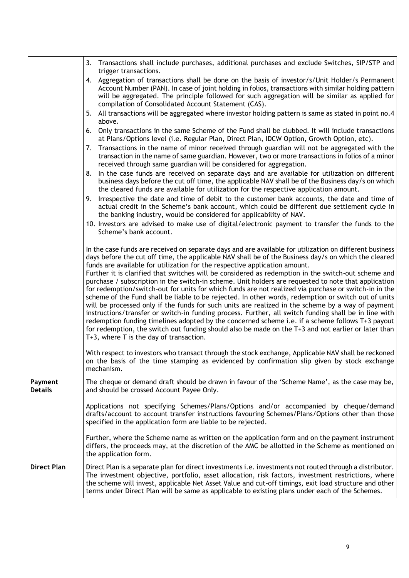|                           | 3. Transactions shall include purchases, additional purchases and exclude Switches, SIP/STP and<br>trigger transactions.                                                                                                                                                                                                                                                                                                                                                                                                                                                                                                                                                                                                                                                                                                                                                                                                                                                                                                                                                                                                                                                                                                                                                                                 |
|---------------------------|----------------------------------------------------------------------------------------------------------------------------------------------------------------------------------------------------------------------------------------------------------------------------------------------------------------------------------------------------------------------------------------------------------------------------------------------------------------------------------------------------------------------------------------------------------------------------------------------------------------------------------------------------------------------------------------------------------------------------------------------------------------------------------------------------------------------------------------------------------------------------------------------------------------------------------------------------------------------------------------------------------------------------------------------------------------------------------------------------------------------------------------------------------------------------------------------------------------------------------------------------------------------------------------------------------|
|                           | 4. Aggregation of transactions shall be done on the basis of investor/s/Unit Holder/s Permanent<br>Account Number (PAN). In case of joint holding in folios, transactions with similar holding pattern<br>will be aggregated. The principle followed for such aggregation will be similar as applied for<br>compilation of Consolidated Account Statement (CAS).                                                                                                                                                                                                                                                                                                                                                                                                                                                                                                                                                                                                                                                                                                                                                                                                                                                                                                                                         |
|                           | 5. All transactions will be aggregated where investor holding pattern is same as stated in point no.4<br>above.                                                                                                                                                                                                                                                                                                                                                                                                                                                                                                                                                                                                                                                                                                                                                                                                                                                                                                                                                                                                                                                                                                                                                                                          |
|                           | 6. Only transactions in the same Scheme of the Fund shall be clubbed. It will include transactions<br>at Plans/Options level (i.e. Regular Plan, Direct Plan, IDCW Option, Growth Option, etc).                                                                                                                                                                                                                                                                                                                                                                                                                                                                                                                                                                                                                                                                                                                                                                                                                                                                                                                                                                                                                                                                                                          |
|                           | Transactions in the name of minor received through guardian will not be aggregated with the<br>7.<br>transaction in the name of same guardian. However, two or more transactions in folios of a minor<br>received through same guardian will be considered for aggregation.                                                                                                                                                                                                                                                                                                                                                                                                                                                                                                                                                                                                                                                                                                                                                                                                                                                                                                                                                                                                                              |
|                           | In the case funds are received on separate days and are available for utilization on different<br>8.<br>business days before the cut off time, the applicable NAV shall be of the Business day/s on which<br>the cleared funds are available for utilization for the respective application amount.                                                                                                                                                                                                                                                                                                                                                                                                                                                                                                                                                                                                                                                                                                                                                                                                                                                                                                                                                                                                      |
|                           | Irrespective the date and time of debit to the customer bank accounts, the date and time of<br>9.<br>actual credit in the Scheme's bank account, which could be different due settlement cycle in<br>the banking industry, would be considered for applicability of NAV.                                                                                                                                                                                                                                                                                                                                                                                                                                                                                                                                                                                                                                                                                                                                                                                                                                                                                                                                                                                                                                 |
|                           | 10. Investors are advised to make use of digital/electronic payment to transfer the funds to the<br>Scheme's bank account.                                                                                                                                                                                                                                                                                                                                                                                                                                                                                                                                                                                                                                                                                                                                                                                                                                                                                                                                                                                                                                                                                                                                                                               |
|                           | In the case funds are received on separate days and are available for utilization on different business<br>days before the cut off time, the applicable NAV shall be of the Business day/s on which the cleared<br>funds are available for utilization for the respective application amount.<br>Further it is clarified that switches will be considered as redemption in the switch-out scheme and<br>purchase / subscription in the switch-in scheme. Unit holders are requested to note that application<br>for redemption/switch-out for units for which funds are not realized via purchase or switch-in in the<br>scheme of the Fund shall be liable to be rejected. In other words, redemption or switch out of units<br>will be processed only if the funds for such units are realized in the scheme by a way of payment<br>instructions/transfer or switch-in funding process. Further, all switch funding shall be in line with<br>redemption funding timelines adopted by the concerned scheme i.e. if a scheme follows T+3 payout<br>for redemption, the switch out funding should also be made on the T+3 and not earlier or later than<br>T+3, where T is the day of transaction.<br>With respect to investors who transact through the stock exchange, Applicable NAV shall be reckoned |
|                           | on the basis of the time stamping as evidenced by confirmation slip given by stock exchange<br>mechanism.                                                                                                                                                                                                                                                                                                                                                                                                                                                                                                                                                                                                                                                                                                                                                                                                                                                                                                                                                                                                                                                                                                                                                                                                |
| Payment<br><b>Details</b> | The cheque or demand draft should be drawn in favour of the 'Scheme Name', as the case may be,<br>and should be crossed Account Payee Only.                                                                                                                                                                                                                                                                                                                                                                                                                                                                                                                                                                                                                                                                                                                                                                                                                                                                                                                                                                                                                                                                                                                                                              |
|                           | Applications not specifying Schemes/Plans/Options and/or accompanied by cheque/demand<br>drafts/account to account transfer instructions favouring Schemes/Plans/Options other than those<br>specified in the application form are liable to be rejected.                                                                                                                                                                                                                                                                                                                                                                                                                                                                                                                                                                                                                                                                                                                                                                                                                                                                                                                                                                                                                                                |
|                           | Further, where the Scheme name as written on the application form and on the payment instrument<br>differs, the proceeds may, at the discretion of the AMC be allotted in the Scheme as mentioned on<br>the application form.                                                                                                                                                                                                                                                                                                                                                                                                                                                                                                                                                                                                                                                                                                                                                                                                                                                                                                                                                                                                                                                                            |
| <b>Direct Plan</b>        | Direct Plan is a separate plan for direct investments i.e. investments not routed through a distributor.<br>The investment objective, portfolio, asset allocation, risk factors, investment restrictions, where<br>the scheme will invest, applicable Net Asset Value and cut-off timings, exit load structure and other<br>terms under Direct Plan will be same as applicable to existing plans under each of the Schemes.                                                                                                                                                                                                                                                                                                                                                                                                                                                                                                                                                                                                                                                                                                                                                                                                                                                                              |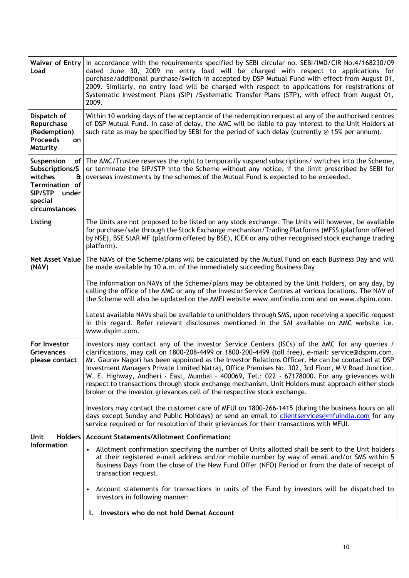| Waiver of Entry<br>Load                                                                                         | In accordance with the requirements specified by SEBI circular no. SEBI/IMD/CIR No.4/168230/09<br>dated June 30, 2009 no entry load will be charged with respect to applications for<br>purchase/additional purchase/switch-in accepted by DSP Mutual Fund with effect from August 01,<br>2009. Similarly, no entry load will be charged with respect to applications for registrations of<br>Systematic Investment Plans (SIP) /Systematic Transfer Plans (STP), with effect from August 01,<br>2009.                                                                                                                                                                                            |
|-----------------------------------------------------------------------------------------------------------------|---------------------------------------------------------------------------------------------------------------------------------------------------------------------------------------------------------------------------------------------------------------------------------------------------------------------------------------------------------------------------------------------------------------------------------------------------------------------------------------------------------------------------------------------------------------------------------------------------------------------------------------------------------------------------------------------------|
| Dispatch of<br>Repurchase<br>(Redemption)<br><b>Proceeds</b><br>on<br>Maturity                                  | Within 10 working days of the acceptance of the redemption request at any of the authorised centres<br>of DSP Mutual Fund. In case of delay, the AMC will be liable to pay interest to the Unit Holders at<br>such rate as may be specified by SEBI for the period of such delay (currently @ 15% per annum).                                                                                                                                                                                                                                                                                                                                                                                     |
| Suspension<br>Subscriptions/S<br>witches<br>&<br>Termination of<br>SIP/STP<br>under<br>special<br>circumstances | of The AMC/Trustee reserves the right to temporarily suspend subscriptions/ switches into the Scheme,<br>or terminate the SIP/STP into the Scheme without any notice, if the limit prescribed by SEBI for<br>overseas investments by the schemes of the Mutual Fund is expected to be exceeded.                                                                                                                                                                                                                                                                                                                                                                                                   |
| Listing                                                                                                         | The Units are not proposed to be listed on any stock exchange. The Units will however, be available<br>for purchase/sale through the Stock Exchange mechanism/Trading Platforms (MFSS (platform offered<br>by NSE), BSE StAR MF (platform offered by BSE), ICEX or any other recognised stock exchange trading<br>platform).                                                                                                                                                                                                                                                                                                                                                                      |
| (NAV)                                                                                                           | Net Asset Value   The NAVs of the Scheme/plans will be calculated by the Mutual Fund on each Business Day and will<br>be made available by 10 a.m. of the immediately succeeding Business Day                                                                                                                                                                                                                                                                                                                                                                                                                                                                                                     |
|                                                                                                                 | The information on NAVs of the Scheme/plans may be obtained by the Unit Holders, on any day, by<br>calling the office of the AMC or any of the Investor Service Centres at various locations. The NAV of<br>the Scheme will also be updated on the AMFI website www.amfiindia.com and on www.dspim.com.                                                                                                                                                                                                                                                                                                                                                                                           |
|                                                                                                                 | Latest available NAVs shall be available to unitholders through SMS, upon receiving a specific request<br>in this regard. Refer relevant disclosures mentioned in the SAI available on AMC website i.e.<br>www.dspim.com.                                                                                                                                                                                                                                                                                                                                                                                                                                                                         |
| For Investor<br><b>Grievances</b><br>please contact                                                             | Investors may contact any of the Investor Service Centers (ISCs) of the AMC for any queries /<br>clarifications, may call on 1800-208-4499 or 1800-200-4499 (toll free), e-mail: service@dspim.com.<br>Mr. Gaurav Nagori has been appointed as the Investor Relations Officer. He can be contacted at DSP<br>Investment Managers Private Limited Natraj, Office Premises No. 302, 3rd Floor, M V Road Junction.<br>W. E. Highway, Andheri - East, Mumbai - 400069, Tel.: 022 - 67178000. For any grievances with<br>respect to transactions through stock exchange mechanism, Unit Holders must approach either stock<br>broker or the investor grievances cell of the respective stock exchange. |
|                                                                                                                 | Investors may contact the customer care of MFUI on 1800-266-1415 (during the business hours on all<br>days except Sunday and Public Holidays) or send an email to clientservices@mfuindia.com for any<br>service required or for resolution of their grievances for their transactions with MFUI.                                                                                                                                                                                                                                                                                                                                                                                                 |
| Unit<br><b>Holders</b>                                                                                          | <b>Account Statements/Allotment Confirmation:</b>                                                                                                                                                                                                                                                                                                                                                                                                                                                                                                                                                                                                                                                 |
| <b>Information</b>                                                                                              | Allotment confirmation specifying the number of Units allotted shall be sent to the Unit holders<br>at their registered e-mail address and/or mobile number by way of email and/or SMS within 5<br>Business Days from the close of the New Fund Offer (NFO) Period or from the date of receipt of<br>transaction request.                                                                                                                                                                                                                                                                                                                                                                         |
|                                                                                                                 | Account statements for transactions in units of the Fund by investors will be dispatched to<br>investors in following manner:                                                                                                                                                                                                                                                                                                                                                                                                                                                                                                                                                                     |
|                                                                                                                 | Investors who do not hold Demat Account                                                                                                                                                                                                                                                                                                                                                                                                                                                                                                                                                                                                                                                           |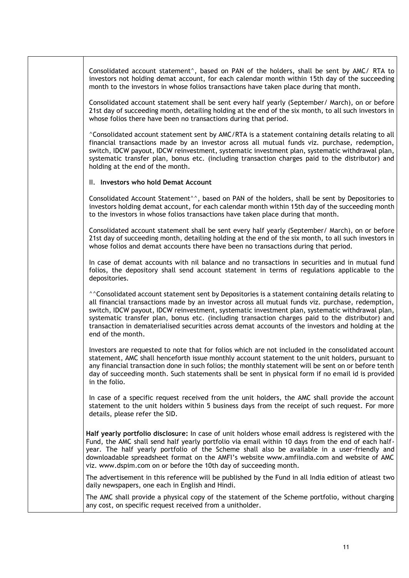investors not holding demat account, for each calendar month within 15th day of the succeeding month to the investors in whose folios transactions have taken place during that month. Consolidated account statement shall be sent every half yearly (September/ March), on or before 21st day of succeeding month, detailing holding at the end of the six month, to all such investors in whose folios there have been no transactions during that period. ^Consolidated account statement sent by AMC/RTA is a statement containing details relating to all financial transactions made by an investor across all mutual funds viz. purchase, redemption, switch, IDCW payout, IDCW reinvestment, systematic investment plan, systematic withdrawal plan, systematic transfer plan, bonus etc. (including transaction charges paid to the distributor) and holding at the end of the month. II. **Investors who hold Demat Account** Consolidated Account Statement^^, based on PAN of the holders, shall be sent by Depositories to investors holding demat account, for each calendar month within 15th day of the succeeding month to the investors in whose folios transactions have taken place during that month. Consolidated account statement shall be sent every half yearly (September/ March), on or before 21st day of succeeding month, detailing holding at the end of the six month, to all such investors in whose folios and demat accounts there have been no transactions during that period. In case of demat accounts with nil balance and no transactions in securities and in mutual fund folios, the depository shall send account statement in terms of regulations applicable to the depositories. ^^Consolidated account statement sent by Depositories is a statement containing details relating to all financial transactions made by an investor across all mutual funds viz. purchase, redemption, switch, IDCW payout, IDCW reinvestment, systematic investment plan, systematic withdrawal plan, systematic transfer plan, bonus etc. (including transaction charges paid to the distributor) and transaction in dematerialised securities across demat accounts of the investors and holding at the end of the month.

Consolidated account statement^, based on PAN of the holders, shall be sent by AMC/ RTA to

Investors are requested to note that for folios which are not included in the consolidated account statement, AMC shall henceforth issue monthly account statement to the unit holders, pursuant to any financial transaction done in such folios; the monthly statement will be sent on or before tenth day of succeeding month. Such statements shall be sent in physical form if no email id is provided in the folio.

In case of a specific request received from the unit holders, the AMC shall provide the account statement to the unit holders within 5 business days from the receipt of such request. For more details, please refer the SID.

**Half yearly portfolio disclosure:** In case of unit holders whose email address is registered with the Fund, the AMC shall send half yearly portfolio via email within 10 days from the end of each halfyear. The half yearly portfolio of the Scheme shall also be available in a user-friendly and downloadable spreadsheet format on the AMFI's website www.amfiindia.com and website of AMC viz. www.dspim.com on or before the 10th day of succeeding month.

The advertisement in this reference will be published by the Fund in all India edition of atleast two daily newspapers, one each in English and Hindi.

The AMC shall provide a physical copy of the statement of the Scheme portfolio, without charging any cost, on specific request received from a unitholder.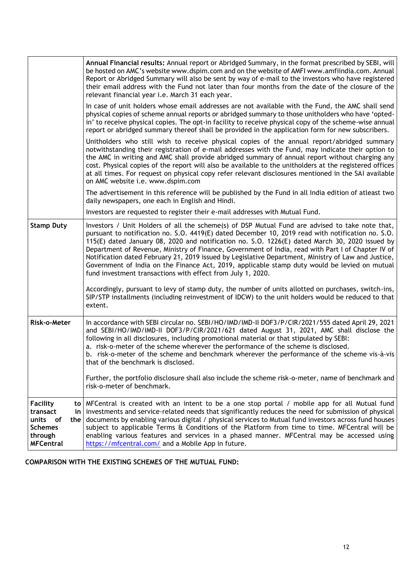|                                                                                                               | Annual Financial results: Annual report or Abridged Summary, in the format prescribed by SEBI, will<br>be hosted on AMC's website www.dspim.com and on the website of AMFI www.amfiindia.com. Annual<br>Report or Abridged Summary will also be sent by way of e-mail to the investors who have registered<br>their email address with the Fund not later than four months from the date of the closure of the<br>relevant financial year i.e. March 31 each year.                                                                                                                                                                                                                  |
|---------------------------------------------------------------------------------------------------------------|-------------------------------------------------------------------------------------------------------------------------------------------------------------------------------------------------------------------------------------------------------------------------------------------------------------------------------------------------------------------------------------------------------------------------------------------------------------------------------------------------------------------------------------------------------------------------------------------------------------------------------------------------------------------------------------|
|                                                                                                               | In case of unit holders whose email addresses are not available with the Fund, the AMC shall send<br>physical copies of scheme annual reports or abridged summary to those unitholders who have 'opted-<br>in' to receive physical copies. The opt-in facility to receive physical copy of the scheme-wise annual<br>report or abridged summary thereof shall be provided in the application form for new subscribers.                                                                                                                                                                                                                                                              |
|                                                                                                               | Unitholders who still wish to receive physical copies of the annual report/abridged summary<br>notwithstanding their registration of e-mail addresses with the Fund, may indicate their option to<br>the AMC in writing and AMC shall provide abridged summary of annual report without charging any<br>cost. Physical copies of the report will also be available to the unitholders at the registered offices<br>at all times. For request on physical copy refer relevant disclosures mentioned in the SAI available<br>on AMC website i.e. www.dspim.com                                                                                                                        |
|                                                                                                               | The advertisement in this reference will be published by the Fund in all India edition of atleast two<br>daily newspapers, one each in English and Hindi.                                                                                                                                                                                                                                                                                                                                                                                                                                                                                                                           |
|                                                                                                               | Investors are requested to register their e-mail addresses with Mutual Fund.                                                                                                                                                                                                                                                                                                                                                                                                                                                                                                                                                                                                        |
| <b>Stamp Duty</b>                                                                                             | Investors / Unit Holders of all the scheme(s) of DSP Mutual Fund are advised to take note that,<br>pursuant to notification no. S.O. 4419(E) dated December 10, 2019 read with notification no. S.O.<br>115(E) dated January 08, 2020 and notification no. S.O. 1226(E) dated March 30, 2020 issued by<br>Department of Revenue, Ministry of Finance, Government of India, read with Part I of Chapter IV of<br>Notification dated February 21, 2019 issued by Legislative Department, Ministry of Law and Justice,<br>Government of India on the Finance Act, 2019, applicable stamp duty would be levied on mutual<br>fund investment transactions with effect from July 1, 2020. |
|                                                                                                               | Accordingly, pursuant to levy of stamp duty, the number of units allotted on purchases, switch-ins,<br>SIP/STP installments (including reinvestment of IDCW) to the unit holders would be reduced to that<br>extent.                                                                                                                                                                                                                                                                                                                                                                                                                                                                |
| Risk-o-Meter                                                                                                  | In accordance with SEBI circular no. SEBI/HO/IMD/IMD-II DOF3/P/CIR/2021/555 dated April 29, 2021<br>and SEBI/HO/IMD/IMD-II DOF3/P/CIR/2021/621 dated August 31, 2021, AMC shall disclose the<br>following in all disclosures, including promotional material or that stipulated by SEBI:<br>a. risk-o-meter of the scheme wherever the performance of the scheme is disclosed.<br>b. risk-o-meter of the scheme and benchmark wherever the performance of the scheme vis-à-vis<br>that of the benchmark is disclosed.                                                                                                                                                               |
|                                                                                                               | Further, the portfolio disclosure shall also include the scheme risk-o-meter, name of benchmark and<br>risk-o-meter of benchmark.                                                                                                                                                                                                                                                                                                                                                                                                                                                                                                                                                   |
| <b>Facility</b><br>to I<br>transact<br>in<br>units of<br>the<br><b>Schemes</b><br>through<br><b>MFCentral</b> | MFCentral is created with an intent to be a one stop portal / mobile app for all Mutual fund<br>investments and service-related needs that significantly reduces the need for submission of physical<br>documents by enabling various digital / physical services to Mutual fund investors across fund houses<br>subject to applicable Terms & Conditions of the Platform from time to time. MFCentral will be<br>enabling various features and services in a phased manner. MFCentral may be accessed using<br>https://mfcentral.com/ and a Mobile App in future.                                                                                                                  |

**COMPARISON WITH THE EXISTING SCHEMES OF THE MUTUAL FUND:**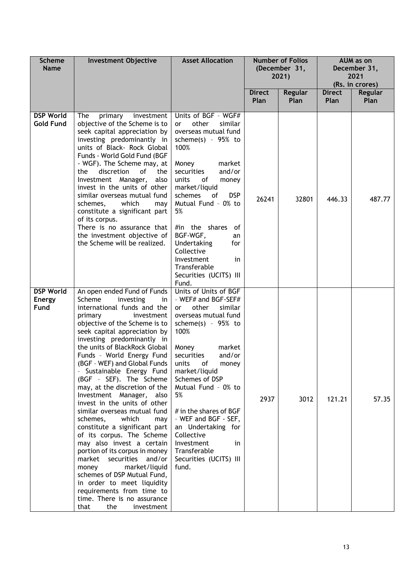| <b>Scheme</b><br><b>Name</b>              | <b>Investment Objective</b>                                                                                                                                                                                                                                                                                                                                                                                                                                                                                                                                                                                                                                                                                                                                                                                                                                               | <b>Asset Allocation</b>                                                                                                                                                                                                                                                                                                                                                                                                         | <b>Number of Folios</b><br>(December 31,<br>2021) |       | <b>Direct</b><br><b>Direct</b><br><b>Regular</b> |        |  | AUM as on<br>December 31,<br>2021<br>(Rs. in crores)<br><b>Regular</b> |  |
|-------------------------------------------|---------------------------------------------------------------------------------------------------------------------------------------------------------------------------------------------------------------------------------------------------------------------------------------------------------------------------------------------------------------------------------------------------------------------------------------------------------------------------------------------------------------------------------------------------------------------------------------------------------------------------------------------------------------------------------------------------------------------------------------------------------------------------------------------------------------------------------------------------------------------------|---------------------------------------------------------------------------------------------------------------------------------------------------------------------------------------------------------------------------------------------------------------------------------------------------------------------------------------------------------------------------------------------------------------------------------|---------------------------------------------------|-------|--------------------------------------------------|--------|--|------------------------------------------------------------------------|--|
|                                           |                                                                                                                                                                                                                                                                                                                                                                                                                                                                                                                                                                                                                                                                                                                                                                                                                                                                           |                                                                                                                                                                                                                                                                                                                                                                                                                                 | Plan                                              | Plan  | <b>Plan</b>                                      | Plan   |  |                                                                        |  |
| <b>DSP World</b><br><b>Gold Fund</b>      | The<br>primary<br>investment<br>objective of the Scheme is to<br>seek capital appreciation by<br>investing predominantly in<br>units of Black- Rock Global<br>Funds - World Gold Fund (BGF<br>- WGF). The Scheme may, at<br>discretion<br>of<br>the<br>the<br>Investment Manager,<br>also<br>invest in the units of other<br>similar overseas mutual fund<br>which<br>schemes,<br>may<br>constitute a significant part<br>of its corpus.<br>There is no assurance that<br>the investment objective of<br>the Scheme will be realized.                                                                                                                                                                                                                                                                                                                                     | Units of BGF - WGF#<br>other<br>similar<br><b>or</b><br>overseas mutual fund<br>scheme(s) - $95\%$ to<br>100%<br>Money<br>market<br>and/or<br>securities<br>units<br>of<br>money<br>market/liquid<br>schemes<br>of<br><b>DSP</b><br>Mutual Fund - 0% to<br>5%<br>#in the shares<br>-of<br>BGF-WGF,<br>an<br>Undertaking<br>for<br>Collective<br>Investment<br>in<br>Transferable<br>Securities (UCITS) III<br>Fund.             | 26241                                             | 32801 | 446.33                                           | 487.77 |  |                                                                        |  |
| <b>DSP World</b><br><b>Energy</b><br>Fund | An open ended Fund of Funds<br>Scheme<br>investing<br>in.<br>international funds and the<br>primary<br>investment<br>objective of the Scheme is to<br>seek capital appreciation by<br>investing predominantly in<br>the units of BlackRock Global<br>Funds - World Energy Fund<br>(BGF - WEF) and Global Funds<br>Sustainable Energy Fund<br>(BGF - SEF). The Scheme<br>may, at the discretion of the<br>Investment Manager, also<br>invest in the units of other<br>similar overseas mutual fund<br>schemes,<br>which<br>may<br>constitute a significant part<br>of its corpus. The Scheme<br>may also invest a certain<br>portion of its corpus in money<br>market<br>securities and/or<br>market/liquid<br>money<br>schemes of DSP Mutual Fund,<br>in order to meet liquidity<br>requirements from time to<br>time. There is no assurance<br>the<br>that<br>investment | Units of Units of BGF<br>- WEF# and BGF-SEF#<br>other<br>similar<br>or<br>overseas mutual fund<br>scheme(s) - $95\%$ to<br>100%<br>Money<br>market<br>and/or<br>securities<br>of<br>units<br>money<br>market/liquid<br>Schemes of DSP<br>Mutual Fund - 0% to<br>5%<br># in the shares of BGF<br>- WEF and BGF - SEF,<br>an Undertaking for<br>Collective<br>Investment<br>in<br>Transferable<br>Securities (UCITS) III<br>fund. | 2937                                              | 3012  | 121.21                                           | 57.35  |  |                                                                        |  |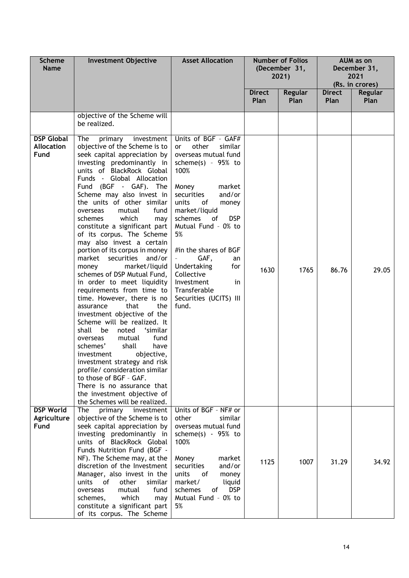| <b>Scheme</b><br><b>Name</b>                   | <b>Investment Objective</b>                                                                                                                                                                                                                                                                                                                                                                                                                                                                                                                                                                                                                                                                                                                                                                                                                                                                                                                                                                                                                                  | <b>Asset Allocation</b><br><b>Number of Folios</b><br>(December 31,<br>2021)                                                                                                                                                                                                                                                                                                                              |                       |                 |                              |                        |  | AUM as on<br>December 31,<br>2021<br>(Rs. in crores) |
|------------------------------------------------|--------------------------------------------------------------------------------------------------------------------------------------------------------------------------------------------------------------------------------------------------------------------------------------------------------------------------------------------------------------------------------------------------------------------------------------------------------------------------------------------------------------------------------------------------------------------------------------------------------------------------------------------------------------------------------------------------------------------------------------------------------------------------------------------------------------------------------------------------------------------------------------------------------------------------------------------------------------------------------------------------------------------------------------------------------------|-----------------------------------------------------------------------------------------------------------------------------------------------------------------------------------------------------------------------------------------------------------------------------------------------------------------------------------------------------------------------------------------------------------|-----------------------|-----------------|------------------------------|------------------------|--|------------------------------------------------------|
|                                                |                                                                                                                                                                                                                                                                                                                                                                                                                                                                                                                                                                                                                                                                                                                                                                                                                                                                                                                                                                                                                                                              |                                                                                                                                                                                                                                                                                                                                                                                                           | <b>Direct</b><br>Plan | Regular<br>Plan | <b>Direct</b><br><b>Plan</b> | <b>Regular</b><br>Plan |  |                                                      |
|                                                | objective of the Scheme will<br>be realized.                                                                                                                                                                                                                                                                                                                                                                                                                                                                                                                                                                                                                                                                                                                                                                                                                                                                                                                                                                                                                 |                                                                                                                                                                                                                                                                                                                                                                                                           |                       |                 |                              |                        |  |                                                      |
| <b>DSP Global</b><br><b>Allocation</b><br>Fund | The<br>primary<br>investment<br>objective of the Scheme is to<br>seek capital appreciation by<br>investing predominantly in<br>units of BlackRock Global<br>Funds - Global Allocation<br>Fund (BGF - GAF). The<br>Scheme may also invest in<br>the units of other similar<br>fund<br>mutual<br>overseas<br>which<br>schemes<br>may<br>constitute a significant part<br>of its corpus. The Scheme<br>may also invest a certain<br>portion of its corpus in money<br>market securities and/or<br>market/liquid<br>money<br>schemes of DSP Mutual Fund,<br>in order to meet liquidity<br>requirements from time to<br>time. However, there is no<br>that<br>the<br>assurance<br>investment objective of the<br>Scheme will be realized. It<br>'similar<br>shall<br>be<br>noted<br>mutual<br>fund<br>overseas<br>shall<br>schemes'<br>have<br>objective,<br>investment<br>investment strategy and risk<br>profile/ consideration similar<br>to those of BGF - GAF.<br>There is no assurance that<br>the investment objective of<br>the Schemes will be realized. | Units of BGF - GAF#<br>other<br>similar<br>or<br>overseas mutual fund<br>scheme(s) - $95\%$ to<br>100%<br>Money<br>market<br>and/or<br>securities<br>units<br>of<br>money<br>market/liquid<br><b>DSP</b><br>schemes<br>of<br>Mutual Fund - 0% to<br>5%<br>#in the shares of BGF<br>GAF,<br>an<br>Undertaking<br>for<br>Collective<br>Investment<br>in.<br>Transferable<br>Securities (UCITS) III<br>fund. | 1630                  | 1765            | 86.76                        | 29.05                  |  |                                                      |
| <b>DSP World</b><br>Agriculture<br>Fund        | The<br>primary investment<br>objective of the Scheme is to<br>seek capital appreciation by<br>investing predominantly in<br>units of BlackRock Global<br>Funds Nutrition Fund (BGF -<br>NF). The Scheme may, at the<br>discretion of the Investment<br>Manager, also invest in the<br>units<br>of<br>other<br>similar<br>fund<br>overseas<br>mutual<br>which<br>schemes,<br>may<br>constitute a significant part<br>of its corpus. The Scheme                                                                                                                                                                                                                                                                                                                                                                                                                                                                                                                                                                                                                | Units of BGF - NF# or<br>other<br>similar<br>overseas mutual fund<br>scheme(s) $-95%$ to<br>100%<br>Money<br>market<br>securities<br>and/or<br>units<br>0f<br>money<br>market/<br>liquid<br><b>DSP</b><br>schemes<br>of<br>Mutual Fund - 0% to<br>5%                                                                                                                                                      | 1125                  | 1007            | 31.29                        | 34.92                  |  |                                                      |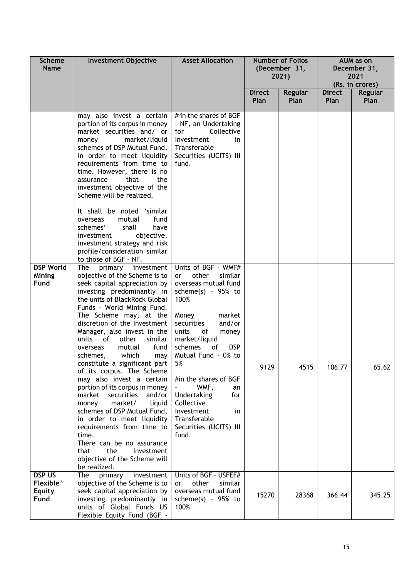| <b>Scheme</b><br><b>Name</b>                                    | <b>Investment Objective</b>                                                                                                                                                                                                                                                                                                                                                                                                                                                                                                                                                                                                                                                                                                                                                                                                                                                       | <b>Asset Allocation</b>                                                                                                                                                                                                                                                                                                                                                                                        | <b>Number of Folios</b><br>(December 31,<br>2021)<br><b>Direct</b><br>Regular |       | AUM as on<br>December 31,<br>2021<br>(Rs. in crores)<br><b>Direct</b><br><b>Regular</b><br>Plan<br>Plan |        |
|-----------------------------------------------------------------|-----------------------------------------------------------------------------------------------------------------------------------------------------------------------------------------------------------------------------------------------------------------------------------------------------------------------------------------------------------------------------------------------------------------------------------------------------------------------------------------------------------------------------------------------------------------------------------------------------------------------------------------------------------------------------------------------------------------------------------------------------------------------------------------------------------------------------------------------------------------------------------|----------------------------------------------------------------------------------------------------------------------------------------------------------------------------------------------------------------------------------------------------------------------------------------------------------------------------------------------------------------------------------------------------------------|-------------------------------------------------------------------------------|-------|---------------------------------------------------------------------------------------------------------|--------|
|                                                                 | may also invest a certain<br>portion of its corpus in money<br>market securities and/ or<br>market/liquid<br>money<br>schemes of DSP Mutual Fund,<br>in order to meet liquidity<br>requirements from time to<br>time. However, there is no<br>that<br>the<br>assurance<br>investment objective of the<br>Scheme will be realized.<br>It shall be noted 'similar<br>mutual<br>fund<br>overseas<br>schemes'<br>have<br>shall<br>investment<br>objective,                                                                                                                                                                                                                                                                                                                                                                                                                            | # in the shares of BGF<br>- NF, an Undertaking<br>Collective<br>for<br>Investment<br>in<br>Transferable<br>Securities (UCITS) III<br>fund.                                                                                                                                                                                                                                                                     | Plan                                                                          | Plan  |                                                                                                         |        |
| <b>DSP World</b><br>Mining<br>Fund                              | investment strategy and risk<br>profile/consideration similar<br>to those of BGF - NF.<br>The<br>primary investment<br>objective of the Scheme is to<br>seek capital appreciation by<br>investing predominantly in<br>the units of BlackRock Global<br>Funds - World Mining Fund.<br>The Scheme may, at the<br>discretion of the Investment<br>Manager, also invest in the<br>of<br>similar<br>units<br>other<br>fund<br>mutual<br>overseas<br>which<br>schemes,<br>may<br>constitute a significant part<br>of its corpus. The Scheme<br>may also invest a certain<br>portion of its corpus in money<br>market<br>securities<br>and/or<br>market/<br>liquid<br>money<br>schemes of DSP Mutual Fund,<br>in order to meet liquidity<br>requirements from time to<br>time.<br>There can be no assurance<br>the<br>investment<br>that<br>objective of the Scheme will<br>be realized. | Units of BGF - WMF#<br>other<br>similar<br><b>or</b><br>overseas mutual fund<br>scheme(s) - $95%$ to<br>100%<br>market<br>Money<br>and/or<br>securities<br>units<br>of<br>money<br>market/liquid<br>schemes<br><b>DSP</b><br>0f<br>Mutual Fund - 0% to<br>5%<br>#in the shares of BGF<br>WMF,<br>an<br>Undertaking<br>for<br>Collective<br>Investment<br>in<br>Transferable<br>Securities (UCITS) III<br>fund. | 9129                                                                          | 4515  | 106.77                                                                                                  | 65.62  |
| <b>DSP US</b><br>Flexible <sup>^</sup><br><b>Equity</b><br>Fund | primary<br>investment<br><b>The</b><br>objective of the Scheme is to<br>seek capital appreciation by<br>investing predominantly in<br>units of Global Funds US<br>Flexible Equity Fund (BGF -                                                                                                                                                                                                                                                                                                                                                                                                                                                                                                                                                                                                                                                                                     | Units of BGF - USFEF#<br>other<br>similar<br>or<br>overseas mutual fund<br>scheme $(s)$ - 95% to<br>100%                                                                                                                                                                                                                                                                                                       | 15270                                                                         | 28368 | 366.44                                                                                                  | 345.25 |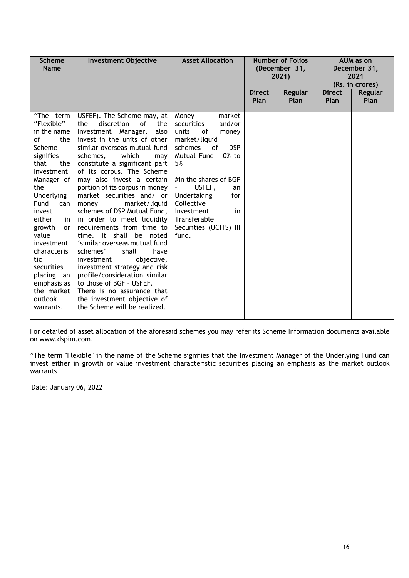| <b>Scheme</b><br><b>Name</b>                                                                                                                                                                                                                                                                                                                         | <b>Investment Objective</b>                                                                                                                                                                                                                                                                                                                                                                                                                                                                                                                                                                                                                                                                                                                                                          | <b>Asset Allocation</b>                                                                                                                                                                                                                                                                          |                       | <b>Number of Folios</b><br>(December 31,<br>2021) |                              | AUM as on<br>December 31,<br>2021<br>(Rs. in crores) |
|------------------------------------------------------------------------------------------------------------------------------------------------------------------------------------------------------------------------------------------------------------------------------------------------------------------------------------------------------|--------------------------------------------------------------------------------------------------------------------------------------------------------------------------------------------------------------------------------------------------------------------------------------------------------------------------------------------------------------------------------------------------------------------------------------------------------------------------------------------------------------------------------------------------------------------------------------------------------------------------------------------------------------------------------------------------------------------------------------------------------------------------------------|--------------------------------------------------------------------------------------------------------------------------------------------------------------------------------------------------------------------------------------------------------------------------------------------------|-----------------------|---------------------------------------------------|------------------------------|------------------------------------------------------|
|                                                                                                                                                                                                                                                                                                                                                      |                                                                                                                                                                                                                                                                                                                                                                                                                                                                                                                                                                                                                                                                                                                                                                                      |                                                                                                                                                                                                                                                                                                  | <b>Direct</b><br>Plan | Regular<br>Plan                                   | <b>Direct</b><br><b>Plan</b> | Regular<br>Plan                                      |
| <sup>^</sup> The term<br>"Flexible"<br>in the name<br>οf<br>the<br>Scheme<br>signifies<br>that<br>the<br>Investment<br>Manager of<br>the<br>Underlying<br>Fund<br>can<br>invest<br>either<br>in<br>growth<br><b>or</b><br>value<br>investment<br>characteris<br>tic<br>securities<br>placing an<br>emphasis as<br>the market<br>outlook<br>warrants. | USFEF). The Scheme may, at<br>discretion<br>of<br>the<br>the<br>Investment Manager,<br>also<br>invest in the units of other<br>similar overseas mutual fund<br>which<br>schemes,<br>may<br>constitute a significant part<br>of its corpus. The Scheme<br>may also invest a certain<br>portion of its corpus in money<br>market securities and/ or<br>market/liquid<br>money<br>schemes of DSP Mutual Fund,<br>in order to meet liquidity<br>requirements from time to<br>time. It shall be noted<br>'similar overseas mutual fund<br>schemes'<br>shall<br>have<br>investment<br>objective,<br>investment strategy and risk<br>profile/consideration similar<br>to those of BGF - USFEF.<br>There is no assurance that<br>the investment objective of<br>the Scheme will be realized. | Money<br>market<br>and/or<br>securities<br>units<br>0f<br>money<br>market/liquid<br>schemes<br><b>DSP</b><br>of<br>Mutual Fund - 0% to<br>5%<br>#in the shares of BGF<br>USFEF,<br>an<br>Undertaking<br>for<br>Collective<br>Investment<br>in<br>Transferable<br>Securities (UCITS) III<br>fund. |                       |                                                   |                              |                                                      |

For detailed of asset allocation of the aforesaid schemes you may refer its Scheme Information documents available on www.dspim.com.

^The term "Flexible" in the name of the Scheme signifies that the Investment Manager of the Underlying Fund can invest either in growth or value investment characteristic securities placing an emphasis as the market outlook warrants

Date: January 06, 2022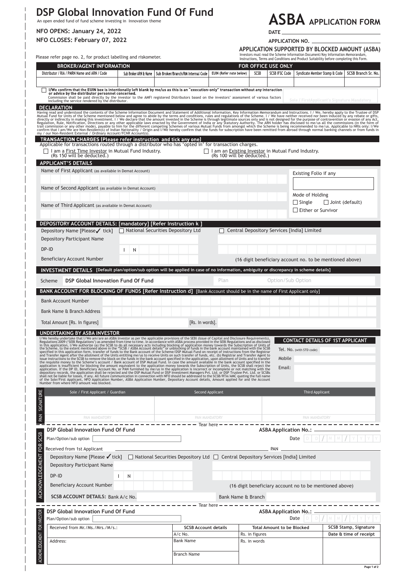# **DSP Global Innovation Fund Of Fund**<br>An open ended fund of fund scheme investing in Innovation theme

**NFO OPENS: January 24, 2022 NFO CLOSES: February 07, 2022**

 $\overline{\phantom{a}}$ 

# **ASBA APPLICATION FORM**

**DATE**

**APPLICATION NO.** 

Investors must read the Scheme Information Document/Key Information Memorandum Instructions, Terms and Conditions and Product Suitability before completing this Form. **APPLICATION SUPPORTED BY BLOCKED AMOUNT (ASBA)**

|                                     | Please refer page no. 2, for product labelling and riskometer.                                                                                                                                                                                                                                                |                                                  |  |                                    |                                                                                  |                                                     |      |                                | Investors must read the Scheme Information Document/Key Information Memorandum,<br>Instructions, Terms and Conditions and Product Suitability before completing this Form. |                        |                       |
|-------------------------------------|---------------------------------------------------------------------------------------------------------------------------------------------------------------------------------------------------------------------------------------------------------------------------------------------------------------|--------------------------------------------------|--|------------------------------------|----------------------------------------------------------------------------------|-----------------------------------------------------|------|--------------------------------|----------------------------------------------------------------------------------------------------------------------------------------------------------------------------|------------------------|-----------------------|
|                                     | <b>BROKER/AGENT INFORMATION</b>                                                                                                                                                                                                                                                                               |                                                  |  |                                    | FOR OFFICE USE ONLY                                                              |                                                     |      |                                |                                                                                                                                                                            |                        |                       |
|                                     | Distributor / RIA / PMRN Name and ARN / Code                                                                                                                                                                                                                                                                  | Sub Broker ARN & Name                            |  | Sub Broker/Branch/RM Internal Code | EUIN (Refer note below)                                                          |                                                     | SCSB | <b>SCSB IFSC Code</b>          | Syndicate Member Stamp & Code                                                                                                                                              |                        | SCSB Branch Sr. No.   |
|                                     |                                                                                                                                                                                                                                                                                                               |                                                  |  |                                    |                                                                                  |                                                     |      |                                |                                                                                                                                                                            |                        |                       |
|                                     | I/We confirm that the EUIN box is intentionally left blank by me/us as this is an "execution-only" transaction without any interaction<br>or advice by the distributor personnel concerned.                                                                                                                   |                                                  |  |                                    |                                                                                  |                                                     |      |                                |                                                                                                                                                                            |                        |                       |
|                                     | Commission shall be paid directly by the investor to the AMFI registered Distributors based on the investors' assessment of various factors<br>including the service rendered by the distributor.                                                                                                             |                                                  |  |                                    |                                                                                  |                                                     |      |                                | Sole / FirstApplicant's Signature Mandatory                                                                                                                                |                        |                       |
|                                     | <b>DECLARATION</b>                                                                                                                                                                                                                                                                                            |                                                  |  |                                    |                                                                                  |                                                     |      |                                |                                                                                                                                                                            |                        |                       |
|                                     | Having read and understood the contents of the Scheme Information Document and Statement of Additional Information, Key Information Memorandum and Instructions. I / We, hereby apply to the Trustee of DSP Mutual Fund for Un                                                                                |                                                  |  |                                    |                                                                                  |                                                     |      |                                |                                                                                                                                                                            |                        |                       |
|                                     |                                                                                                                                                                                                                                                                                                               |                                                  |  |                                    |                                                                                  |                                                     |      |                                |                                                                                                                                                                            |                        |                       |
|                                     | my / our Non-Resident External / Ordinary Account/FCNR Account(s).<br><b>TRANSACTION CHARGES (Please refer instruction and tick any one)</b>                                                                                                                                                                  |                                                  |  |                                    |                                                                                  |                                                     |      |                                |                                                                                                                                                                            |                        |                       |
|                                     | Applicable for transactions routed through a distributor who has 'opted in' for transaction charges.                                                                                                                                                                                                          |                                                  |  |                                    |                                                                                  |                                                     |      |                                |                                                                                                                                                                            |                        |                       |
|                                     | I am a First Time Investor in Mutual Fund Industry.<br>(Rs 150 will be deducted.)                                                                                                                                                                                                                             |                                                  |  |                                    | I am an Existing Investor in Mutual Fund Industry.<br>(Rs 100 will be deducted.) |                                                     |      |                                |                                                                                                                                                                            |                        |                       |
|                                     | <b>APPLICANT'S DETAILS</b>                                                                                                                                                                                                                                                                                    |                                                  |  |                                    |                                                                                  |                                                     |      |                                |                                                                                                                                                                            |                        |                       |
|                                     | Name of First Applicant (as available in Demat Account)                                                                                                                                                                                                                                                       |                                                  |  |                                    |                                                                                  |                                                     |      |                                | Existing Folio if any                                                                                                                                                      |                        |                       |
|                                     |                                                                                                                                                                                                                                                                                                               |                                                  |  |                                    |                                                                                  |                                                     |      |                                |                                                                                                                                                                            |                        |                       |
|                                     | Name of Second Applicant (as available in Demat Account)                                                                                                                                                                                                                                                      |                                                  |  |                                    |                                                                                  |                                                     |      |                                | Mode of Holding                                                                                                                                                            |                        |                       |
|                                     |                                                                                                                                                                                                                                                                                                               |                                                  |  |                                    |                                                                                  |                                                     |      |                                | $\Box$ Single                                                                                                                                                              | $\Box$ Joint (default) |                       |
|                                     | Name of Third Applicant (as available in Demat Account)                                                                                                                                                                                                                                                       |                                                  |  |                                    |                                                                                  |                                                     |      |                                | Either or Survivor                                                                                                                                                         |                        |                       |
|                                     |                                                                                                                                                                                                                                                                                                               |                                                  |  |                                    |                                                                                  |                                                     |      |                                |                                                                                                                                                                            |                        |                       |
|                                     | DEPOSITORY ACCOUNT DETAILS: [mandatory] [Refer Instruction k ]<br>Depository Name [Please√ tick]                                                                                                                                                                                                              | National Securities Depository Ltd               |  |                                    |                                                                                  |                                                     |      |                                | Central Depository Services [India] Limited                                                                                                                                |                        |                       |
|                                     | Depository Participant Name                                                                                                                                                                                                                                                                                   |                                                  |  |                                    |                                                                                  |                                                     |      |                                |                                                                                                                                                                            |                        |                       |
|                                     | DP-ID                                                                                                                                                                                                                                                                                                         | Ν                                                |  |                                    |                                                                                  |                                                     |      |                                |                                                                                                                                                                            |                        |                       |
|                                     | Beneficiary Account Number                                                                                                                                                                                                                                                                                    |                                                  |  |                                    |                                                                                  |                                                     |      |                                | (16 digit beneficiary account no. to be mentioned above)                                                                                                                   |                        |                       |
|                                     |                                                                                                                                                                                                                                                                                                               |                                                  |  |                                    |                                                                                  |                                                     |      |                                |                                                                                                                                                                            |                        |                       |
|                                     | INVESTMENT DETAILS [Default plan/option/sub option will be applied in case of no information, ambiguity or discrepancy in scheme details]                                                                                                                                                                     |                                                  |  |                                    |                                                                                  |                                                     |      |                                |                                                                                                                                                                            |                        |                       |
|                                     | <b>DSP Global Innovation Fund Of Fund</b><br>Scheme                                                                                                                                                                                                                                                           |                                                  |  |                                    | Plan                                                                             |                                                     |      | Option/Sub Option              |                                                                                                                                                                            |                        |                       |
|                                     | BANK ACCOUNT FOR BLOCKING OF FUNDS [Refer Instruction d] [Bank Account should be in the name of First Applicant only]                                                                                                                                                                                         |                                                  |  |                                    |                                                                                  |                                                     |      |                                |                                                                                                                                                                            |                        |                       |
|                                     | <b>Bank Account Number</b>                                                                                                                                                                                                                                                                                    |                                                  |  |                                    |                                                                                  |                                                     |      |                                |                                                                                                                                                                            |                        |                       |
|                                     | Bank Name & Branch Address                                                                                                                                                                                                                                                                                    |                                                  |  |                                    |                                                                                  |                                                     |      |                                |                                                                                                                                                                            |                        |                       |
|                                     | Total Amount [Rs. In figures]                                                                                                                                                                                                                                                                                 |                                                  |  | [Rs. In words].                    |                                                                                  |                                                     |      |                                |                                                                                                                                                                            |                        |                       |
|                                     | UNDERTAKING BY ASBA INVESTOR                                                                                                                                                                                                                                                                                  |                                                  |  |                                    |                                                                                  |                                                     |      |                                |                                                                                                                                                                            |                        |                       |
|                                     | I/We hereby undertake that I/We am/are an ASBA Investor as per the applicable provisions of the SEBI (Issue of Capital and Disclosure Requirements),<br>Regulations 2009 ('SEBI Regulations') as amended from time to time. In accordance with ASBA process provided in the SEBI Regulations and as disclosed |                                                  |  |                                    |                                                                                  |                                                     |      |                                | <b>CONTACT DETAILS OF 1ST APPLICANT</b>                                                                                                                                    |                        |                       |
|                                     | in this application, UVNe authorize (a) the SCSB to do all necessary acts including blocking of application money towards the Subscription of Units of<br>in this application, UVNe authorize (a) the SCSB to do all necessary ac                                                                             |                                                  |  |                                    |                                                                                  |                                                     |      |                                | Tel. No. (with STD code)                                                                                                                                                   |                        |                       |
|                                     | and Transfer Agent after the allotment of the Units entitling me/us to receive Units on such transfer of funds, etc. (b) Registrar and Transfer Agent to                                                                                                                                                      |                                                  |  |                                    |                                                                                  |                                                     |      | Mobile                         |                                                                                                                                                                            |                        |                       |
|                                     | and I ransfer Agent arter the automent of the Units entitling me/us to receive units on such transfer of things, etc. (b) registrar and I ransfer and the SuSB to remove the block on the funds in the bank account specified                                                                                 |                                                  |  |                                    |                                                                                  |                                                     |      | Email:                         |                                                                                                                                                                            |                        |                       |
|                                     | of the Sole/First Applicant, NFO Application Number, ASBA Application Number, Depositary Account details, Amount applied for and the Account                                                                                                                                                                  |                                                  |  |                                    |                                                                                  |                                                     |      |                                |                                                                                                                                                                            |                        |                       |
|                                     | Number from where NFO amount was blocked.                                                                                                                                                                                                                                                                     |                                                  |  |                                    |                                                                                  |                                                     |      |                                |                                                                                                                                                                            |                        |                       |
| PAN SIGNATURE                       | Sole / First Applicant / Guardian                                                                                                                                                                                                                                                                             |                                                  |  |                                    | Second Applicant                                                                 |                                                     |      |                                | Third Applicant                                                                                                                                                            |                        |                       |
|                                     |                                                                                                                                                                                                                                                                                                               |                                                  |  |                                    |                                                                                  |                                                     |      |                                |                                                                                                                                                                            |                        |                       |
|                                     | PAN MANDATORY                                                                                                                                                                                                                                                                                                 |                                                  |  |                                    | PAN MANDATORY                                                                    |                                                     |      |                                | PAN MANDATORY                                                                                                                                                              |                        |                       |
|                                     |                                                                                                                                                                                                                                                                                                               | ————————————————— Tear here ———————————————————— |  |                                    |                                                                                  |                                                     |      |                                |                                                                                                                                                                            |                        |                       |
|                                     | <b>DSP Global Innovation Fund Of Fund</b>                                                                                                                                                                                                                                                                     |                                                  |  |                                    |                                                                                  |                                                     |      | <b>ASBA Application No.:</b>   |                                                                                                                                                                            |                        |                       |
|                                     | Plan/Option/sub option                                                                                                                                                                                                                                                                                        |                                                  |  |                                    |                                                                                  |                                                     |      |                                | Date                                                                                                                                                                       |                        |                       |
|                                     | Received from 1st Applicant                                                                                                                                                                                                                                                                                   |                                                  |  |                                    |                                                                                  |                                                     |      | PAN.                           |                                                                                                                                                                            |                        |                       |
|                                     | Depository Name [Please √tick]   National Securities Depository Ltd   Central Depository Services [India] Limited                                                                                                                                                                                             |                                                  |  |                                    |                                                                                  |                                                     |      |                                |                                                                                                                                                                            |                        |                       |
|                                     | Depository Participant Name                                                                                                                                                                                                                                                                                   |                                                  |  |                                    |                                                                                  |                                                     |      |                                |                                                                                                                                                                            |                        |                       |
|                                     | DP-ID                                                                                                                                                                                                                                                                                                         | N<br>I.                                          |  |                                    |                                                                                  |                                                     |      |                                |                                                                                                                                                                            |                        |                       |
|                                     | Beneficiary Account Number                                                                                                                                                                                                                                                                                    |                                                  |  |                                    |                                                                                  |                                                     |      |                                | (16 digit beneficiary account no to be mentioned above)                                                                                                                    |                        |                       |
| ACKNOWLEDGEMENT FOR SCSB            | SCSB ACCOUNT DETAILS: Bank A/c No.                                                                                                                                                                                                                                                                            |                                                  |  |                                    | Bank Name & Branch                                                               |                                                     |      |                                |                                                                                                                                                                            |                        |                       |
| $\overline{\phantom{0}}$            |                                                                                                                                                                                                                                                                                                               | $- - - - - - - - - - - - -$ Tear here -          |  |                                    |                                                                                  |                                                     |      |                                |                                                                                                                                                                            |                        |                       |
|                                     | <b>DSP Global Innovation Fund Of Fund</b>                                                                                                                                                                                                                                                                     |                                                  |  |                                    |                                                                                  |                                                     |      | <b>ASBA Application No.: -</b> |                                                                                                                                                                            | M                      |                       |
|                                     | Plan/Option/sub option                                                                                                                                                                                                                                                                                        |                                                  |  | <b>SCSB Account details</b>        |                                                                                  |                                                     |      |                                | Date                                                                                                                                                                       |                        | SCSB Stamp, Signature |
|                                     | Received from Mr./Ms./Mrs./M/s.:                                                                                                                                                                                                                                                                              |                                                  |  | A/c No.                            |                                                                                  | <b>Total Amount to be Blocked</b><br>Rs. in figures |      |                                | Date & time of receipt                                                                                                                                                     |                        |                       |
| <b>ACKNOWLEDGEMENT FOR INVESTOR</b> | Address:                                                                                                                                                                                                                                                                                                      |                                                  |  | <b>Bank Name</b>                   |                                                                                  | Rs. in words                                        |      |                                |                                                                                                                                                                            |                        |                       |
|                                     |                                                                                                                                                                                                                                                                                                               |                                                  |  | Branch Name                        |                                                                                  |                                                     |      |                                |                                                                                                                                                                            |                        |                       |
|                                     |                                                                                                                                                                                                                                                                                                               |                                                  |  |                                    |                                                                                  |                                                     |      |                                |                                                                                                                                                                            |                        |                       |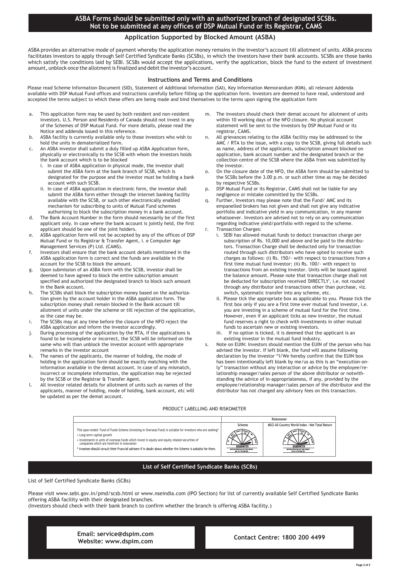#### **ASBA Forms should be submitted only with an authorized branch of designated SCSBs. Not to be submitted at any offices of DSP Mutual Fund or its Registrar, CAMS**

#### **Application Supported by Blocked Amount (ASBA)**

ASBA provides an alternative mode of payment whereby the application money remains in the investor's account till allotment of units. ASBA process facilitates investors to apply through Self Certified Syndicate Banks (SCSBs), in which the investors have their bank accounts. SCSBs are those banks which satisfy the conditions laid by SEBI. SCSBs would accept the applications, verify the application, block the fund to the extent of investment amount, unblock once the allotment is finalized and debit the investor's account.

#### **Instructions and Terms and Conditions**

Please read Scheme Information Document (SID), Statement of Additional Information (SAI), Key Information Memorandum (KIM), all relevant Addenda available with DSP Mutual Fund offices and instructions carefully before filling up the application form. Investors are deemed to have read, understood and accepted the terms subject to which these offers are being made and bind themselves to the terms upon signing the application form

- a. This application form may be used by both resident and non-resident investors. U.S. Person and Residents of Canada should not invest in any of the Schemes of DSP Mutual Fund. For more details, please read the Notice and addenda issued in this reference.
- b. ASBA facility is currently available only to those investors who wish to hold the units in dematerialized form.
- c. An ASBA investor shall submit a duly filled up ASBA Application form, physically or electronically to the SCSB with whom the investors holds the bank account which is to be blocked
	- i. In case of ASBA application in physical mode, the investor shall submit the ASBA form at the bank branch of SCSB, which is designated for the purpose and the investor must be holding a bank account with such SCSB.
	- ii. In case of ASBA application in electronic form, the investor shall submit the ASBA form either through the internet banking facility available with the SCSB, or such other electronically enabled mechanism for subscribing to units of Mutual Fund schemes authorising to block the subscription money in a bank account.
- d. The Bank Account Number in the form should necessarily be of the first applicant only. In case where the bank account is jointly held, the first applicant should be one of the joint holders.
- e. ASBA application form will not be accepted by any of the offices of DSP Mutual Fund or its Registrar & Transfer Agent, i. e Computer Age Management Services (P) Ltd. (CAMS).
- f. Investors shall ensure that the bank account details mentioned in the ASBA application form is correct and the funds are available in the account for the SCSB to block the amount.
- g. Upon submission of an ASBA form with the SCSB, investor shall be deemed to have agreed to block the entire subscription amount specified and authorized the designated branch to block such amount in the Bank account.
- h. The SCSBs shall block the subscription money based on the authorization given by the account holder in the ASBA application form. The subscription money shall remain blocked in the Bank account till allotment of units under the scheme or till rejection of the application, as the case may be.
- i. The SCSBs may at any time before the closure of the NFO reject the ASBA application and inform the investor accordingly.
- j. During processing of the application by the RTA, if the applications is found to be incomplete or incorrect, the SCSB will be informed on the same who will than unblock the investor account with appropriate remarks in the investor account
- k. The names of the applicants, the manner of holding, the mode of holding in the application form should be exactly matching with the information available in the demat account. In case of any mismatch, incorrect or incomplete information, the application may be rejected by the SCSB or the Registrar & Transfer Agent.
- l. All investor related details for allotment of units such as names of the applicants, manner of holding, mode of holding, bank account, etc will be updated as per the demat account.
- m. The investors should check their demat account for allotment of units within 10 working days of the NFO closure. No physical account statement will be sent to the investors by DSP Mutual Fund or its registrar, CAMS.
- All grievances relating to the ASBA facility may be addressed to the AMC / RTA to the issue, with a copy to the SCSB, giving full details such as name, address of the applicants, subscription amount blocked on application, bank account number and the designated branch or the collection centre of the SCSB where the ASBA from was submitted by the investor.
- o. On the closure date of the NFO, the ASBA form should be submitted to the SCSBs before the 3.00 p.m. or such other time as may be decided by respective SCSBs.
- p. DSP Mutual Fund or its Registrar, CAMS shall not be liable for any negligence or mistake committed by the SCSBs.
- q. Further, Investors may please note that the Fund/ AMC and its empanelled brokers has not given and shall not give any indicative portfolio and indicative yield in any communication, in any manner whatsoever. Investors are advised not to rely on any communication regarding indicative yield/portfolio with regard to the scheme. r. Transaction Charges:
	- i. SEBI has allowed mutual funds to deduct transaction charge per subscription of Rs. 10,000 and above and be paid to the distributors. Transaction Charge shall be deducted only for transaction routed through such distributors who have opted to receive such charges as follows: (i) Rs. 150/- with respect to transactions from a first time mutual fund investor; (ii) Rs. 100/- with respect to transactions from an existing investor. Units will be issued against the balance amount. Please note that transaction charge shall not be deducted for subscription received 'DIRECTLY', i.e. not routed through any distributor and transactions other than purchase, viz. switch, systematic transfer into any scheme, etc.
	- ii. Please tick the appropriate box as applicable to you. Please tick the first box only if you are a first time ever mutual fund investor, i.e. you are investing in a scheme of mutual fund for the first time. However, even if an applicant ticks as new investor, the mutual fund reserves a right to check with investments in other mutual funds to ascertain new or existing investors.
	- iii. If no option is ticked, it is deemed that the applicant is an existing investor in the mutual fund industry.
	- Note on EUIN: Investors should mention the EUIN of the person who has advised the investor. If left blank, the fund will assume following declaration by the investor "I/We hereby confirm that the EUIN box has been intentionally left blank by me/us as this is an "execution-only" transaction without any interaction or advice by the employee/relationship manager/sales person of the above distributor or notwithstanding the advice of in-appropriateness, if any, provided by the employee/relationship manager/sales person of the distributor and the distributor has not charged any advisory fees on this transaction.

#### PRODUCT LABELLING AND RISKOMETER



#### **List of Self Certified Syndicate Banks (SCBs)**

List of Self Certified Syndicate Banks (SCBs)

Please visit www.sebi.gov.in/pmd/scsb.html or www.nseindia.com (IPO Section) for list of currently available Self Certified Syndicate Banks offering ASBA facility with their designated branches.

(Investors should check with their bank branch to confirm whether the branch is offering ASBA facility.)

**Email: service@dspim.com Website: www.dspim.com**

#### **Contact Centre: 1800 200 4499**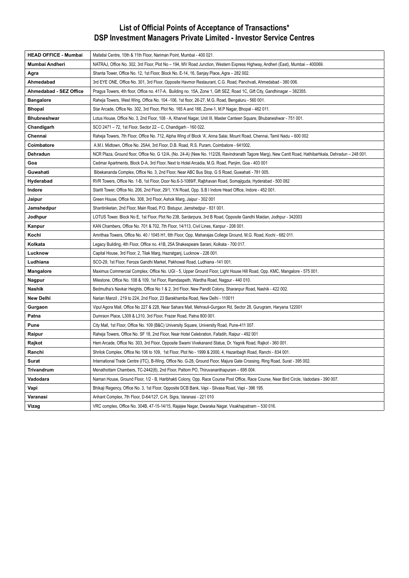# **List of Official Points of Acceptance of Transactions\* DSP Investment Managers Private Limited - Investor Service Centres**

| <b>HEAD OFFICE - Mumbai</b> | Mafatlal Centre, 10th & 11th Floor, Nariman Point, Mumbai - 400 021.                                                                                  |
|-----------------------------|-------------------------------------------------------------------------------------------------------------------------------------------------------|
| Mumbai Andheri              | NATRAJ, Office No. 302, 3rd Floor, Plot No - 194, MV Road Junction, Western Express Highway, Andheri (East), Mumbai - 400069.                         |
| Agra                        | Shanta Tower, Office No. 12, 1st Floor, Block No. E-14, 16, Sanjay Place, Agra - 282 002.                                                             |
| Ahmedabad                   | 3rd EYE ONE, Office No. 301, 3rd Floor, Opposite Havmor Restaurant, C.G. Road, Panchvati, Ahmedabad - 380 006.                                        |
| Ahmedabad - SEZ Office      | Pragya Towers, 4th floor, Office no. 417-A, Building no. 15A, Zone 1, Gift SEZ, Road 1C, Gift City, Gandhinagar - 382355.                             |
| <b>Bangalore</b>            | Raheja Towers, West Wing, Office No. 104 -106, 1st floor, 26-27, M.G. Road, Bengaluru - 560 001.                                                      |
| <b>Bhopal</b>               | Star Arcade, Office No. 302, 3rd Floor, Plot No. 165 A and 166, Zone-1, M.P Nagar, Bhopal - 462 011.                                                  |
| <b>Bhubneshwar</b>          | Lotus House, Office No. 3, 2nd Floor, 108 - A, Kharvel Nagar, Unit III, Master Canteen Square, Bhubaneshwar - 751 001.                                |
| Chandigarh                  | SCO 2471 - 72, 1st Floor, Sector 22 - C, Chandigarh - 160 022.                                                                                        |
| Chennai                     | Raheja Towers, 7th Floor, Office No. 712, Alpha Wing of Block 'A', Anna Salai, Mount Road, Chennai, Tamil Nadu – 600 002                              |
| Coimbatore                  | A.M.I. Midtown, Office No. 25A4, 3rd Floor, D.B. Road, R.S. Puram, Coimbatore - 641002.                                                               |
| Dehradun                    | NCR Plaza, Ground floor, Office No. G 12/A, (No. 24-A) (New No. 112/28, Ravindranath Tagore Marg), New Cantt Road, Hathibarhkala, Dehradun - 248 001. |
| Goa                         | Cedmar Apartments, Block D-A, 3rd Floor, Next to Hotel Arcadia, M.G. Road, Panjim, Goa - 403 001                                                      |
| Guwahati                    | Bibekananda Complex, Office No. 3, 2nd Floor, Near ABC Bus Stop, G S Road, Guwahati - 781 005.                                                        |
| Hyderabad                   | RVR Towers, Office No. 1-B, 1st Floor, Door No.6-3-1089/F, Rajbhavan Road, Somajiguda, Hyderabad - 500 082                                            |
| Indore                      | Starlit Tower, Office No. 206, 2nd Floor, 29/1, Y.N Road, Opp. S.B I Indore Head Office, Indore - 452 001.                                            |
| Jaipur                      | Green House, Office No. 308, 3rd Floor, Ashok Marg, Jaipur - 302 001                                                                                  |
| Jamshedpur                  | Shantiniketan, 2nd Floor, Main Road, P.O. Bistupur, Jamshedpur - 831 001.                                                                             |
| Jodhpur                     | LOTUS Tower, Block No E, 1st Floor, Plot No 238, Sardarpura, 3rd B Road, Opposite Gandhi Maidan, Jodhpur - 342003                                     |
| Kanpur                      | KAN Chambers, Office No. 701 & 702, 7th Floor, 14/113, Civil Lines, Kanpur - 208 001.                                                                 |
| Kochi                       | Amrithaa Towers, Office No. 40 / 1045 H1, 6th Floor, Opp. Maharajas College Ground, M.G. Road, Kochi - 682 011.                                       |
| Kolkata                     | Legacy Building, 4th Floor, Office no. 41B, 25A Shakespeare Sarani, Kolkata - 700 017.                                                                |
| Lucknow                     | Capital House, 3rd Floor, 2, Tilak Marg, Hazratganj, Lucknow - 226 001.                                                                               |
| Ludhiana                    | SCO-29, 1st Floor, Feroze Gandhi Market, Pakhowal Road, Ludhiana -141 001.                                                                            |
| Mangalore                   | Maximus Commercial Complex, Office No. UGI - 5, Upper Ground Floor, Light House Hill Road, Opp. KMC, Mangalore - 575 001.                             |
| Nagpur                      | Milestone, Office No. 108 & 109, 1st Floor, Ramdaspeth, Wardha Road, Nagpur - 440 010.                                                                |
| Nashik                      | Bedmutha's Navkar Heights, Office No 1 & 2, 3rd Floor, New Pandit Colony, Sharanpur Road, Nashik - 422 002.                                           |
| <b>New Delhi</b>            | Narian Manzil, 219 to 224, 2nd Floor, 23 Barakhamba Road, New Delhi - 110011                                                                          |
| Gurgaon                     | Vipul Agora Mall, Office No 227 & 228, Near Sahara Mall, Mehrauli-Gurgaon Rd, Sector 28, Gurugram, Haryana 122001                                     |
| Patna                       | Dumraon Place, L309 & L310, 3rd Floor, Frazer Road, Patna 800 001.                                                                                    |
| Pune                        | City Mall, 1st Floor, Office No. 109 (B&C) University Square, University Road, Pune-411 007.                                                          |
| Raipur                      | Raheja Towers, Office No. SF 18, 2nd Floor, Near Hotel Celebration, Fafadih, Raipur - 492 001                                                         |
| Rajkot                      | Hem Arcade, Office No. 303, 3rd Floor, Opposite Swami Vivekanand Statue, Dr. Yagnik Road, Rajkot - 360 001.                                           |
| Ranchi                      | Shrilok Complex, Office No 106 to 109, 1st Floor, Plot No - 1999 & 2000, 4, Hazaribagh Road, Ranchi - 834 001.                                        |
| Surat                       | International Trade Centre (ITC), B-Wing, Office No. G-28, Ground Floor, Majura Gate Crossing, Ring Road, Surat - 395 002.                            |
| Trivandrum                  | Menathottam Chambers, TC-2442(6), 2nd Floor, Pattom PO, Thiruvananthapuram – 695 004.                                                                 |
| Vadodara                    | Naman House, Ground Floor, 1/2 - B, Haribhakti Colony, Opp. Race Course Post Office, Race Course, Near Bird Circle, Vadodara - 390 007.               |
| Vapi                        | Bhikaji Regency, Office No. 3, 1st Floor, Opposite DCB Bank, Vapi - Silvasa Road, Vapi - 396 195.                                                     |
| Varanasi                    | Arihant Complex, 7th Floor, D-64/127, C-H, Sigra, Varanasi - 221 010                                                                                  |
| Vizag                       | VRC complex, Office No. 304B, 47-15-14/15, Rajajee Nagar, Dwaraka Nagar, Visakhapatnam – 530 016.                                                     |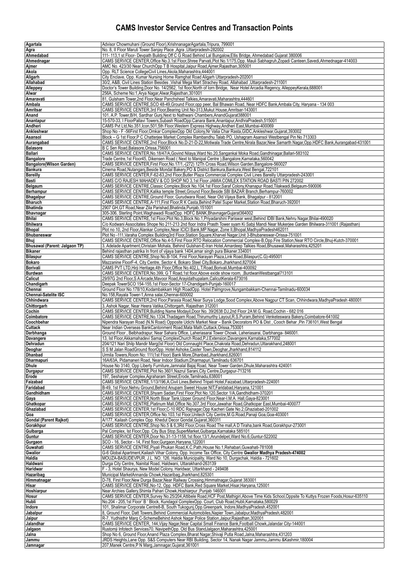# **CAMS Investor Service Centres and Transaction Points**

| Agartala                                           | Advisor Chowmuhani (Ground Floor), KrishnanagarAgartala, Tripura, 799001                                                                                                                                                                                                              |
|----------------------------------------------------|---------------------------------------------------------------------------------------------------------------------------------------------------------------------------------------------------------------------------------------------------------------------------------------|
| Agra                                               | No. 8. Il Floor Maruti Tower Saniav Place .Agra .Uttarpradesh-282002<br>111-113,1 st Floor- Devpath Building Off C G Road Behind Lal Bungalow, Ellis Bridge, Ahmedabad Gujarat 380006                                                                                                 |
| Ahmedabad<br>Ahmednagar                            | CAMS SERVICE CENTER, Office No.3.1st Floor, Shree Parvati, Plot No.1/175, Opp. Mauli Sabhagruh, Zopadi Canteen, Savedi, Ahmednagar-414003                                                                                                                                             |
| Ajmer                                              | AMC No. 423/30 Near ChurchOpp T B Hospital, Jaipur Road, Ajmer, Rajasthan, 305001                                                                                                                                                                                                     |
| Akola                                              | Opp. RLT Science CollegeCivil Lines, Akola, Maharashtra, 444001                                                                                                                                                                                                                       |
| Aligarh<br>Allahabad                               | City Enclave, Opp. Kumar Nursing Home Ramghat Road Aligarh Uttarpradesh-202001<br>30/2, A&B, Civil Lines Station Besides, Vishal Mega Mart Strachey Road, Allahabad, Uttarpradesh-211001                                                                                              |
| Alleppey                                           | Doctor's Tower Building, Door No. 14/2562, 1st floor, North of Iorn Bridge, Near Hotel Arcadia Regency, AlleppeyKerala, 688001                                                                                                                                                        |
| Alwar                                              | 256A, Scheme No:1, Arya Nagar, Alwar, Rajasthan, 301001                                                                                                                                                                                                                               |
| Amaravati<br>Ambala                                | 81, Gulsham Tower, 2nd Floor, Near Panchsheel Talkies, Amaravati, Maharashtra, 444601<br>CAMS SERVICE CENTRE, SCO 48-49, Ground Floor, opp peer, Bal Bhawan Road, Near HDFC Bank, Ambala City, Haryana - 134 003                                                                      |
| Amritsar                                           | CAMS SERVICE CENTER, 3rd Floor, Bearing Unit No-313, Mukut House, Amritsar-143001                                                                                                                                                                                                     |
| Anand                                              | 101, A.P. Tower, B/H, Sardhar Gunj, Next to Nathwani Chambers, Anand Gujarat 388001                                                                                                                                                                                                   |
| Anantapur<br>Andheri                               | 15-570-33, I FloorPallavi Towers, Subash RoadOpp:Canara Bank, Anantapur, AndhraPradesh, 515001<br>CAMS Pvt Ltd, No.351, Icon, 501, 5th Floor, Western Express Highway, Andheri East, Mumbai-400069                                                                                    |
| Ankleshwar                                         | Shop No - F-56First Floor, Omkar ComplexOpp Old Colony, Nr Valia Char Rasta, GIDC, Ankleshwar, Gujarat, 393002                                                                                                                                                                        |
| Asansol                                            | Block – G 1st Floor,P C Chatterjee Market Complex Rambandhu Talab PO, Ushagram Asansol Westbengal Pin No 713303                                                                                                                                                                       |
| Aurangabad<br><b>Balasore</b>                      | CAMS SERVICE CENTRE,2nd Floor,Block No.D-21-D-22,Motiwala Trade Centre,Nirala Bazar,New Samarth Nagar,Opp.HDFC Bank,Aurangabad-431001<br>B C Sen Road, Balasore, Orissa, 756001                                                                                                       |
| Ballari                                            | CAMS SERVICE CENTER, No.18/47/A, Govind Nilaya, Ward No.20, Sangankal Moka Road, Gandhinagar, Ballari-583102                                                                                                                                                                          |
| <b>Bangalore</b>                                   | Trade Centre,1st Floor45, Dikensen Road (Next to Manipal Centre), Bangalore, Karnataka, 560042                                                                                                                                                                                        |
| <b>Bangalore</b> (Wilson Garden)<br><b>Bankura</b> | CAMS SERVICE CENTER, First Floor, No.17/1,-(272) 12Th Cross Road, Wilson Garden, Bangalore-560027<br>Cinema Road, Nutanganj, Beside Mondal Bakery, PO & District Bankura, Bankura, West Bengal, 722101                                                                                |
| <b>Bareilly</b>                                    | CAMS SERVICE CENTER, F-62-63, 2nd Floor, Butler Plaza Commercial Complex Civil Lines Bareilly Uttarpradesh-243001                                                                                                                                                                     |
| Basti                                              | CAMS C/O RAJESH MAHADEV & CO SHOP NO 3,1st Floor JAMIA COMLEX STATION ROAD BASTI PIN 272002                                                                                                                                                                                           |
| Belgaum<br>Berhampur                               | CAMS SERVICE CENTRE, Classic Complex, Block No.104, 1st Floor, Saraf Colony, Khanapur Road, Tilakwadi, Belgaum-590006<br>CAMS SERVICE CENTER, Kalika temple Street, Ground Floor, Beside SBI BAZAR Branch, Berhampur-760002                                                           |
| <b>Bhagalpur</b>                                   | CAMS SERVICE CENTRE, Ground Floor, Gurudwara Road, Near Old Vijaya Bank, Bhagalpur - 812001                                                                                                                                                                                           |
| <b>Bharuch</b>                                     | CAMS SERVICE CENTRE, A-111, First Floor, R K Casta, Behind Patel Super Market, Station Road, Bharuch-392001                                                                                                                                                                           |
| <b>Bhatinda</b><br>Bhavnagar                       | 2907 GH, GT Road, Near Zila Parishad, Bhatinda, Punjab, 151001<br>305-306, Sterling Point, Waghawadi RoadOpp. HDFC BANK, BhavnagarGujarat364002                                                                                                                                       |
| <b>Bhilai</b>                                      | CAMS SERVICE CENTRE,1st Floor,Plot No.3,Block No.1,Priyadarshini Pariswar west,Behind IDBI Bank,Nehru Nagar,Bhilai-490020                                                                                                                                                             |
| <b>Bhilwara</b>                                    | C/o Kodwani Associtates Shope No 211-213 2nd floor Indra Prasth Tower syam Ki Sabji Mandi Near Mukerjee Garden Bhilwara-311001 (Rajasthan)                                                                                                                                            |
| Bhopal<br><b>Bhubaneswar</b>                       | Plot no 10, 2nd Floor, Alankar Complex, Near ICICI Bank, MP Nagar, Zone II, Bhopal, Madhya Pradesh 462011<br>Plot No -111, Varaha Complex Building3rd Floor, Station Square, Kharvel Nagar, Unit 3-Bhubaneswar-Orissa-751001                                                          |
| Bhui                                               | CAMS SERVICE CENTRE, Office No.4-5, First Floor, RTO Relocation Commercial Complex-B, Opp. Fire Station, Near RTO Circle, Bhuj-Kutch-370001                                                                                                                                           |
| Bhusawal (Parent: Jalgaon TP)                      | 3, Adelade Apartment, Christain Mohala, Behind Gulshan-E-Iran Hotel, Amardeep Talkies Road, Bhusawal, Maharashtra, 425201                                                                                                                                                             |
| <b>Bikaner</b><br>Bilaspur                         | Behind rajasthan patrika In front of vijaya bank 1404, amar singh pura Bikaner.334001<br>CAMS SERVICE CENTRE, Shop No.B-104, First Floor, Narayan Plaza, Link Road, Bilaspur(C.G)-495001                                                                                              |
| Bokaro                                             | Mazzanine FloorF-4, City Centre, Sector 4, Bokaro Steel City, Bokaro, Jharkhand, 827004                                                                                                                                                                                               |
| Borivali                                           | CAMS PVT LTD, Hirji Heritage, 4th Floor, Office No.402, L.T. Road, Borivali, Mumbai-400092                                                                                                                                                                                            |
| <b>Burdwan</b><br>Calicut                          | CAMS SERVICE CENTER, No.399, G T Road, 1st floor, Above exide show room, , BurdwanWestbangal713101<br>29/97G 2nd Floor, S A Arcade, Mavoor Road, Arayidathupalam, CalicutKerala-673016                                                                                                |
| Chandigarh                                         | Deepak TowerSCO 154-155,1st Floor-Sector 17-Chandigarh-Punjab-160017                                                                                                                                                                                                                  |
| Chennai                                            | Ground Floor No.178/10, Kodambakkam High RoadOpp. Hotel Palmgrove, Nungambakkam-Chennai-Tamilnadu-600034                                                                                                                                                                              |
| <b>Chennai-Satelite ISC</b><br>Chhindwara          | No.158, Rayala Tower-1, Anna salai, Chennai-600002<br>CAMS SERVICE CENTER,2nd Floor,Parasia Road,Near Surya Lodge,Sood Complex,Above Nagpur CT Scan, Chhindwara,MadhyaPradesh 480001                                                                                                  |
| Chittorgarh                                        | 3, Ashok Nagar, Near Heera Vatika, Chittorgarh, Rajasthan 312001                                                                                                                                                                                                                      |
|                                                    |                                                                                                                                                                                                                                                                                       |
| Cochin                                             | CAMS SERVICE CENTER, Building Name Modayil, Door No. 39/2638 DJ, 2nd Floor 2A M.G. Road, Cochin - 682 016                                                                                                                                                                             |
| Coimbatore                                         | CAMS SERVICE CENTRE, No.1334, Thadagam Road, Thirumurthy Layout, R.S. Puram, Behind Venketeswara Bakery, Coimbatore-641002                                                                                                                                                            |
| Coochbehar<br>Cuttack                              | Nipendra Narayan Road (N.N Road) Opposite Udichi Market Near – Banik Decorators PO & Dist, Cooch Behar, Pin 736101, West Bengal<br>Near Indian Overseas BankCantonment Road, Mata Math, Cuttack, Orissa, 753001                                                                       |
| Darbhanga                                          | Ground Floor, Belbhadrapur, Near Sahara Office, Laheriasarai Tower Chowk, Laheriasarai, Darbhanga- 846001.                                                                                                                                                                            |
| Davangere                                          | 13, Ist Floor, Akkamahadevi Samaj Complex Church Road, P.J. Extension, Davangere, Karnataka, 577002                                                                                                                                                                                   |
| Dehradun<br>Deoghar                                | 204/121 Nari Shilp Mandir Marg(Ist Floor) Old Connaught Place, Chakrata Road, Dehradun, Uttarakhand, 248001<br>S S M Jalan RoadGround floorOpp. Hotel Ashoke, Caster Town, Deoghar, Jharkhand, 814112                                                                                 |
| Dhanbad                                            | Urmila Towers, Room No: 111 (1st Floor) Bank More, Dhanbad, Jharkhand, 826001                                                                                                                                                                                                         |
| Dharmapuri                                         | 16A/63A, Pidamaneri Road, Near Indoor Stadium, Dharmapuri, Tamilnadu 636701                                                                                                                                                                                                           |
| <b>Dhule</b><br>Durgapur                           | House No 3140. Opp Liberty Furniture Jamnalal Baiai Road. Near Tower Garden Dhule Maharashtra 424001<br>CAMS SERVICE CENTRE. Plot No.3601. Nazrul Sarani. City Centre. Durgapur-713216                                                                                                |
| Erode                                              | 197, Seshaiyer Complex, Agraharam Street, Erode, Tamilnadu, 638001                                                                                                                                                                                                                    |
| Faizabad<br>Faridabad                              | CAMS SERVICE CENTRE, 1/13/196, A, Civil Lines, Behind Tripati Hotel, Faizabad, Uttarpradesh-224001<br>B-49, 1st Floor, Nehru Ground, Behind Anupam Sweet House NIT, Faridabad, Haryana, 121001                                                                                        |
| Gandhidham                                         | CAMS SERVICE CENTER, Shyam Sadan, First Floor, Plot No. 120, Sector 1/A, Gandhidham-370201                                                                                                                                                                                            |
| Gaya                                               | CAMS SERVICE CENTER, North Bisar Tank, Upper Ground Floor, Near-I.M.A. Hall, Gaya-823001                                                                                                                                                                                              |
| Ghatkopar<br>Ghaziabad                             | CAMS SERVICE CENTRE, Platinum Mall, Office No.307, 3rd Floor, Jawahar Road, Ghatkopar East, Mumbai-400077<br>CAMS SERVICE CENTER, 1st Floor, C-10 RDC Rajnagar, Opp Kacheri Gate No.2, Ghaziabad-201002                                                                               |
| Goa                                                | CAMS SERVICE CENTER, Office No.103, 1st Floor, Unitech City Centre, M.G. Road, Panaji Goa, Goa-403001                                                                                                                                                                                 |
| <b>Gondal (Parent Rajkot)</b>                      | A/177, Kailash Complex Opp. Khedut Decor Gondal, Gujarat, 360311                                                                                                                                                                                                                      |
| Gorakhpur<br>Gulbarga                              | CAMS SERVICE CENTRE, Shop No.5 & 6,3Rd Floor, Cross Road The mall, A D Tiraha, bank Road, Gorakhpur-273001<br>Pal Complex, Ist Floor, Opp. City Bus Stop, SuperMarket, Gulbarga, Karnataka 585101                                                                                     |
| Guntur                                             | CAMS SERVICE CENTER, Door No.31-13-1158, 1st floor, 13/1, Arundelpet, Ward No.6, Guntur-522002                                                                                                                                                                                        |
| Gurgaon                                            | SCO - 16. Sector - 14, First floor, Gurgaon, Haryana, 122001                                                                                                                                                                                                                          |
| Guwahati<br><b>Gwalior</b>                         | CAMS SERVICE CENTRE, Piyali Phukan Road, K.C. Path, House No.1, Rehabari, Guwahati-781008<br>G-6 Global Apartment, Kailash Vihar Colony, Opp. Income Tax Office, City Centre Gwalior Madhya Pradesh-474002                                                                            |
| Haldia                                             | MOUZA-BASUDEVPUR, J.L. NO. 126, Haldia Municipality, Ward No 10, Durgachak, Haldia - 721602                                                                                                                                                                                           |
| Haldwani                                           | Durga City Centre, Nainital Road, Haldwani, Uttarakhand-263139                                                                                                                                                                                                                        |
| Haridwar<br>Hazaribag                              | F - 3, Hotel Shaurya, New Model Colony, Haridwar, Uttarkhand - 249408<br>Municipal MarketAnnanda Chowk, Hazaribag, Jharkhand, 825301                                                                                                                                                  |
| Himmatnagar                                        | D-78, First Floor, New Durga Bazar, Near Railway Crossing, Himmatnagar, Gujarat 383001                                                                                                                                                                                                |
| Hisar                                              | CAMS SERVICE CENTRE, No-12, Opp. HDFC Bank, Red Square Market, Hisar, Haryana, 125001                                                                                                                                                                                                 |
| Hoshiarpur<br>Hosur                                | Near Archies Gallery, Shimla Pahari Chowk, Hoshiarpur, Punjab 146001<br>CAMS SERVICE CENTER, Survey No.25/204, Attibele Road, HCF Post, Mathigiri, Above Time Kids School, Oppsite To Kuttys Frozen Foods, Hosur-635110                                                               |
| Hubli                                              | No.204 - 205,1st Floor' B ' Block, Kundagol ComplexOpp. Court, Club Road, Hubli, Karnataka, 580029                                                                                                                                                                                    |
| Indore                                             | 101, Shalimar Corporate Centre8-B, South Tukogunj, Opp. Greenpark, Indore, MadhyaPradesh, 452001                                                                                                                                                                                      |
| Jabalpur<br>Jaipur                                 | 8, Ground Floor, Datt Towers, Behind Commercial Automobiles, Napier Town, Jabalpur, MadhyaPradesh, 482001<br>R-7, Yudhisthir Marg C-SchemeBehind Ashok Nagar Police Station, Jaipur, Rajasthan, 302001                                                                                |
| Jalandhar                                          | CAMS SERVICE CENTER, 144, Vijay Nagar, Near Capital Small Finance Bank, Football Chowk, Jalandar City-144001                                                                                                                                                                          |
| Jalgaon                                            | Rustomji Infotech Services70, NavipethOpp. Old Bus StandJalgaon, Maharashtra, 425001                                                                                                                                                                                                  |
| Jalna<br>Jammu<br>Jamnagar                         | Shop No 6, Ground Floor, Anand Plaza Complex, Bharat Nagar, Shivaji Putla Road, Jalna, Maharashtra, 431203<br>JRDS Heights, Lane Opp. S&S Computers Near RBI Building, Sector 14, Nanak Nagar Jammu, Jammu & Kashmir, 180004<br>207, Manek Centre, PN Marg, Jamnagar, Gujarat, 361001 |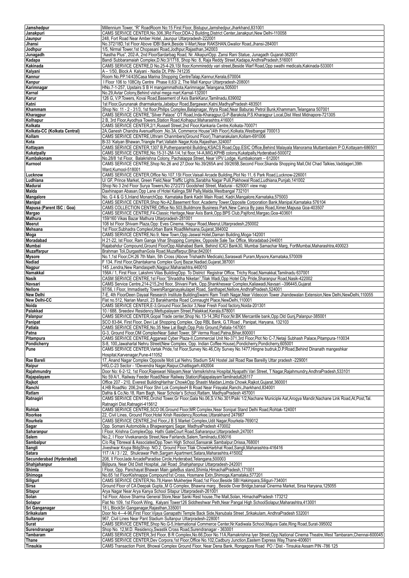| Jamshedpur                   | Millennium Tower, "R" RoadRoom No:15 First Floor, Bistupur, Jamshedpur, Jharkhand, 831001                                                            |
|------------------------------|------------------------------------------------------------------------------------------------------------------------------------------------------|
| Janakpuri                    | CAMS SERVICE CENTER, No.306, 3Rd Floor, DDA-2 Building, District Center, Janakpuri, New Delhi-110058                                                 |
| Jaunpur                      | 248, Fort Road Near Amber Hotel, Jaunpur Uttarpradesh-222001                                                                                         |
| Jhansi                       | No.372/18D,1st Floor Above IDBI Bank, Beside V-Mart, Near RAKSHAN, Gwalior Road, Jhansi-284001                                                       |
|                              |                                                                                                                                                      |
| Jodhpur                      | 1/5, Nirmal Tower, 1st Chopasani Road, Jodhpur, Rajasthan, 342003                                                                                    |
| Junagadh                     | "Aastha Plus", 202-A, 2nd FloorSardarbag Road, Nr. AlkapuriOpp. Zansi Rani Statue, Junagadh Gujarat-362001                                           |
| Kadapa                       | Bandi Subbaramaiah Complex, D.No: 3/1718, Shop No: 8, Raja Reddy Street, Kadapa, Andhra Pradesh, 516001                                              |
| Kakinada                     | CAMS SERVICE CENTRE,D No.25-4-29,1St floor,Kommireddy vari street,Beside Warf Road,Opp swathi medicals,Kakinada-533001                               |
| Kalyani                      | A - 1/50, Block A Kalyani - Nadia Dt, PIN- 741235                                                                                                    |
| Kannur                       | Room No.PP.14/435Casa Marina Shopping CentreTalap, Kannur, Kerala, 670004                                                                            |
|                              |                                                                                                                                                      |
| Kanpur                       | I Floor 106 to 108City Centre Phase II,63/2, The Mall Kanpur Uttarpradesh-208001                                                                     |
| Karimnagar                   | HNo.7-1-257, Upstairs S B H mangammathota, Karimnagar, Telangana, 505001                                                                             |
| Karnal                       | No.29, Avtar Colony, Behind vishal mega mart, Karnal-132001                                                                                          |
| Karur                        | 126 G, V.P. Towers, Kovai Road, Basement of Axis BankKarur, Tamilnadu, 639002                                                                        |
| Katni                        | 1st Floor, Gurunanak dharmakanta, Jabalpur Road, Bargawan, Katni, MadhyaPradesh 483501                                                               |
| Khammam                      | Shop No: 11 - 2 - 31/3, 1st floor,Philips Complex,Balajinagar, Wyra Road,Near Baburao Petrol Bunk,Khammam,Telangana 507001                           |
|                              |                                                                                                                                                      |
| Kharagpur                    | CAMS SERVICE CENTRE,"Silver Palace" OT Road, Inda-Kharagpur, G-P-Barakola, P.S.Kharagpur Local, Dist West Midnapore-721305                           |
| Kolhapur                     | 2 B, 3rd Floor, Ayodhya Towers, Station Road, Kolhapur, Maharashtra, 416001                                                                          |
| Kolkata                      | CAMS SERVICE CENTER, 2/1, Russell Street, 2nd Floor, Kankaria Centre, Kolkata-700071                                                                 |
| Kolkata-CC (Kolkata Central) | 2A, Ganesh Chandra AvenueRoom , No.3A, Commerce House"(4th Floor), Kolkata, Westbangal 700013                                                        |
| Kollam                       | CAMS SERVICE CENTRE, Uthram Chanmbers (Ground Floor), Thamarakulam, Kollam-691006                                                                    |
| Kota                         | B-33 'Kalyan Bhawan, Triangle Part, Vallabh Nagar, Kota, Rajasthan, 324007                                                                           |
|                              |                                                                                                                                                      |
| Kottayam                     | CAMS SERVICE CENTER, 1307 B, Puthenparambil Building, KSACS Road, Opp. ESIC Office, Behind Malayala Manorama Muttambalam PO, Kottayam-686501         |
| Kukatpally                   | CAMS SERVICE CENTRE, No.15-31-2M-1/4, 1st floor, 14-A, MIG, KPHB colony, Kukatpally, Hyderabad-500072                                                |
| Kumbakonam                   | No.28/8 1st Floor, Balakrishna Colony, Pachaiappa Street, Near VPV Lodge, Kumbakonam - 612001                                                        |
| Kurnool                      | CAMS SERVICE CENTRE, Shop No.26 and 27, Door No.39/265A and 39/265B, Second Floor, Skanda Shopping Mall, Old Chad Talkies, Vaddageri, 39th           |
|                              | Ward, Kurnool-518001                                                                                                                                 |
|                              | CAMS SERVICE CENTER, Office No.107, 1St Floor, Vaisali Arcade Building, Plot No 11, 6 Park Road, Lucknow-226001                                      |
| Lucknow                      |                                                                                                                                                      |
| Ludhiana                     | U/ GF, Prince Market, Green Field, Near Traffic Lights, Sarabha Nagar Pulli, Pakhowal Road, Ludhiana, Punjab, 141002                                 |
| Madurai                      | Shop No 3 2nd Floor Surya Towers, No 272/273 Goodshed Street, Madurai - 625001 view map                                                              |
| Malda                        | Daxhinapan Abasan, Opp Lane of Hotel Kalinga, SM Pally, Malda, Westbangal 732101                                                                     |
| Mangalore                    | No. G 4 & G 5, Inland MonarchOpp. Karnataka Bank Kadri Main Road, Kadri, Mangalore, Karnataka, 575003                                                |
| <b>Manipal</b>               | CAMS SERVICE CENTER, Shop No-A2, Basement floor, Academy Tower, Opposite Corporation Bank, Manipal, Karnataka 576104                                 |
| Mapusa (Parent ISC: Goa)     | CAMS COLLECTION CENTRE, Office No.503, Buildmore Business Park, New Canca By pass Road, Ximer, Mapusa Goa-403507                                     |
|                              |                                                                                                                                                      |
| Margao                       | CAMS SERVICE CENTRE, F4-Classic Heritage, Near Axis Bank, Opp. BPS Club, Pajifond, Margao, Goa-403601                                                |
| <b>Mathura</b>               | 159/160 Vikas Bazar Mathura Uttarpradesh-281001                                                                                                      |
| Meerut                       | 108 Ist Floor Shivam Plaza, Opp: Eves Cinema, Hapur Road, Meerut, Uttarpradesh, 250002                                                               |
| Mehsana                      | 1st Floor, Subhadra ComplexUrban Bank RoadMehsana, Gujarat, 384002                                                                                   |
| Moga                         | CAMS SERVICE CENTRE, No.9, New Town, Opp. Jaswal Hotel, Daman Building, Moga-142001                                                                  |
|                              |                                                                                                                                                      |
| Moradabad                    | H 21-22, Ist Floor, Ram Ganga Vihar Shopping Complex, Opposite Sale Tax Office, Moradabad-244001                                                     |
| Mumbai                       | Rajabahdur Compound, Ground FloorOpp Allahabad Bank, Behind ICICI Bank30, Mumbai Samachar Marg, FortMumbai, Maharashtra, 400023                      |
| <b>Muzaffarpur</b>           | Brahman Toli, Durgasthan Gola Road, Muzaffarpur, Bihar, 842001                                                                                       |
| <b>Mysore</b>                | No.1,1st Floor, CH.26 7th Main, 5th Cross (Above Trishakthi Medicals), Saraswati Puram, Mysore, Karnataka, 570009                                    |
| Nadiad                       | F 134, First Floor, Ghantakarna Complex Gunj Bazar, Nadiad, Gujarat, 387001                                                                          |
| Nagpur                       | 145, Lendra, New Ramdaspeth, Nagpur, Maharashtra, 440010                                                                                             |
| Namakkal                     |                                                                                                                                                      |
|                              | 156A / 1, First Floor, Lakshmi Vilas BuildingOpp. To District Registrar Office, Trichy Road, Namakkal, Tamilnadu 637001                              |
| Nasik                        | CASM SERVICE CENTRE,1st Floor,"Shraddha Niketan", Tilak Wadi, Opp Hotel City Pride, Sharanpur Road, Nasik-422002                                     |
| Navsari                      | CAMS Service Centre, 214-215, 2nd floor, Shivani Park, Opp. Shankheswar Complex, Kaliawadi, Navsari -396445, Gujarat                                 |
| Nellore                      | 97/56, I Floor, Immadisetty TowersRanganayakulapet Road, Santhapet, Nellore, AndhraPradesh, 524001                                                   |
| <b>New Delhi</b>             | 7-E, 4th FloorDeen Dayaal Research Institute BuildingSwami Ram Tirath Nagar,Near Videocon Tower Jhandewalan Extension,New Delhi,NewDelhi,110055      |
| New Delhi-CC                 | Flat no.512, Narian Manzil, 23 Barakhamba Road Connaught Place, New Delhi, 110001                                                                    |
|                              |                                                                                                                                                      |
| Noida                        | CAMS SERVICE CENTER, E-3, Ground Floor, Sector 3, Near Fresh Food factory, Noida-201301                                                              |
| Palakkad                     | 10 / 688, Sreedevi Residency, Mettupalayam Street, Palakkad, Kerala, 678001                                                                          |
| Palanpur                     | CAMS SERVICE CENTER, Gopal Trade center, Shop No.13-14, 3Rd Floor, Nr.BK Mercantile bank, Opp.Old Gunj, Palanpur-385001                              |
| Panipat                      | SCO 83-84, First Floor, Devi Lal Shopping Complex, Opp RBL Bank, G.T.Road, Panipat, Haryana, 132103                                                  |
| Patiala                      | CAMS SERVICE CENTRE, No.35 New Lal Bagh, Opp. Polo Ground, Patiala-147001                                                                            |
| Patna                        | G-3, Ground Floor, OM ComplexNear Saket Tower, SP Verma Road, Patna, Bihar, 800001                                                                   |
|                              | CAMS SERVICE CENTRE, Aggarwal Cyber Plaza-II, Commercial Unit No-371, 3rd Floor, Plot No C-7, Netaji Subhash Palace, Pitampura-110034                |
| Pitampura                    |                                                                                                                                                      |
| Pondicherry                  | S-8, 100, Jawaharlal Nehru Street(New Complex, Opp. Indian Coffee House), Pondicherry, Pondicherry, 605001                                           |
| Pune                         | CAMS SERVICE CENTER, Vartak Pride, 1st Floor, Survey No.46, City Survey No.1477, Hingne budruk, D.P. Road, Behind Dinanath mangeshkar                |
|                              | Hospital.Karvenagar.Pune-411052                                                                                                                      |
| Rae Bareli                   | 17, Anand Nagar Complex Opposite Moti Lal Nehru Stadium SAI Hostel Jail Road Rae Bareilly Uttar pradesh -229001                                      |
| Raipur                       | HIG, C-23 Sector - 1Devendra Nagar, Raipur, Chattisgarh, 492004                                                                                      |
|                              |                                                                                                                                                      |
| Rajahmundry                  | Door No: 6-2-12, 1st Floor,Rajeswari Nilayam,Near Vamsikrishna Hospital,Nyapathi Vari Street, T Nagar,Rajahmundry,AndhraPradesh,533101               |
| Rajapalayam                  | No 59 A/1. Railway Feeder Road (Near Railway Station) Raiapalayam Tamilnadu626117                                                                    |
| Rajkot                       | Office 207 - 210, Everest BuildingHarihar ChowkOpp Shastri Maidan, Limda Chowk, Rajkot, Gujarat, 360001                                              |
| Ranchi                       | 4, HB RoadNo: 206, 2nd Floor Shri Lok ComplexH B Road Near Firayalal, Ranchi, Jharkhand, 834001                                                      |
| Ratlam                       | Dafria & Co, No.18, Ram Bagh, Near Scholar's School, Ratlam, Madhya Pradesh 457001                                                                   |
| Ratnagiri                    | CAMS SERVICE CENTRE,Orchid Tower,Gr Floor,Gala No.06,S.V.No.301/Paiki 1/2,Nachane Municiple Aat,Arogya Mandir,Nachane Link Road,At,Post,Tal.         |
|                              | Ratnagiri Dist.Ratnagiri-415612                                                                                                                      |
| Rohtak                       | CAMS SERVICE CENTRE, SCO 06, Ground Floor, MR Complex, Near Sonipat Stand Delhi Road, Rohtak-124001                                                  |
|                              |                                                                                                                                                      |
| Roorkee                      | 22, Civil Lines, Ground Floor, Hotel Krish Residency, Roorkee, Uttarakhand 247667                                                                    |
| Rourkela                     | CAMS SERVICE CENTRE, 2nd Floor, J B S Market Complex, Udit Nagar, Rourkela-769012                                                                    |
| Sagar                        | Opp. Somani Automobile, s Bhagwanganj Sagar, MadhyaPradesh 470002                                                                                    |
| Saharanpur                   | I Floor, Krishna ComplexOpp. Hathi GateCourt Road, Saharanpur, Uttarpradesh, 247001                                                                  |
| Salem                        | No.2, I Floor Vivekananda Street, New Fairlands, Salem, Tamilnadu, 636016                                                                            |
| Sambalpur                    | C/o Raj Tibrewal & AssociatesOpp. Town High School, Sansarak Sambalpur, Orissa, 768001                                                               |
|                              |                                                                                                                                                      |
| Sangli                       | Jiveshwar Krupa BldgShop. NO.2, Ground Floor, Tilak ChowkHarbhat Road, Sangli, Maharashtra-416416                                                    |
| Satara                       | 117 / A / 3 / 22, Shukrawar Peth, Sargam Apartment, Satara, Maharashtra, 415002                                                                      |
| Secunderabad (Hyderabad)     | 208, Il FloorJade ArcadeParadise Circle, Hyderabad, Telangana, 500003                                                                                |
| Shahjahanpur                 | Bijlipura, Near Old Distt Hospital, Jail Road , Shahjahanpur Uttarpradesh-242001                                                                     |
| Shimla                       | I Floor, Opp. Panchayat Bhawan Main gateBus stand, Shimla, HimachalPradesh, 171001                                                                   |
| Shimoga                      | No.65 1st FloorKishnappa Compound1st Cross, Hosmane Extn, Shimoga, Karnataka, 577201                                                                 |
|                              | CAMS SERVICE CENTER, No.78, Haren Mukherjee Road, 1st Floor, Beside SBI Hakimpara, Siliguri-734001                                                   |
| Siliguri                     |                                                                                                                                                      |
| Sirsa                        | Ground Floor of CA Deepak Gupta,,M G Complex, Bhawna marg, Beside Over Bridge,bansal Cinerma Market, Sirsa Haryana,125055                            |
| <b>Sitapur</b>               | Arya Nagar Near Arya Kanya School Sitapur Uttarpradesh-261001                                                                                        |
| Solan                        | 1st Floor, Above Sharma General Store, Near Sanki Rest house, The Mall, Solan, HimachalPradesh 173212                                                |
| Solapur                      | Flat No 109, 1st FloorA Wing, Kalyani Tower126 Siddheshwar Peth, Near Pangal High SchoolSolapur, Maharashtra, 413001                                 |
| Sri Ganganagar               | 18 L BlockSri Ganganagar, Rajasthan, 335001                                                                                                          |
| Srikakulam                   | Door No 4-4-96, First Floor. Vijaya Ganapathi Temple Back Side, Nanubala Street, Srikakulam, AndhraPradesh 532001                                    |
|                              |                                                                                                                                                      |
| Sultanpur                    | 967, Civil Lines Near Pant Stadium Sultanpur Uttarpradesh-228001                                                                                     |
| Surat                        | CAMS SERVICE CENTRE, Shop No.G-5, International Commerce Center, Nr. Kadiwala School, Majura Gate, Ring Road, Surat-395002                           |
| Surendranagar                | Shop No. 12, M.D. Residency, Swastik Cross Road, Surendranagar - 363001                                                                              |
| Tambaram                     | CAMS SERVICE CENTER,3rd Floor, B R Complex, No.66, Door No.11A, Ramakrishna Iyer Street, Opp. National Cinema Theatre, West Tambaram, Chennai-600045 |
|                              | CAMS SERVICE CENTER, Dev Corpora, 1st Floor, Office No. 102, Cadbury Junction, Eastern Express Way, Thane-400601                                     |
|                              |                                                                                                                                                      |
| Thane<br>Tinsukia            | CAMS Transaction Point, Bhowal Complex Ground Floor, Near Dena Bank, Rongagora Road PO / Dist - Tinsukia Assam PIN -786 125                          |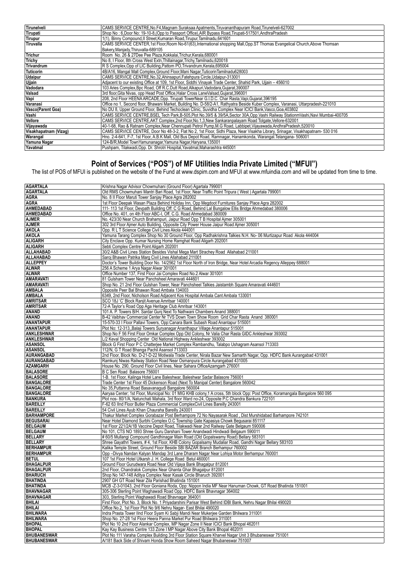| Tirunelveli              | CAMS SERVICE CENTRE, No. F4, Magnam Suraksaa Apatments, Tiruvananthapuram Road, Tirunelveli-627002                                  |
|--------------------------|-------------------------------------------------------------------------------------------------------------------------------------|
| Tirupati                 | Shop No: 6, Door No: 19-10-8, (Opp to Passport Office), AIR Bypass Road, Tirupati-517501, AndhraPradesh                             |
| Tirupur                  | 1(1), Binny Compound, Il Street, Kumaran Road, Tirupur, Tamilnadu, 641601                                                           |
| Tiruvalla                | CAMS SERVICE CENTER, 1st Floor, Room No-61(63), International shopping Mall, Opp.ST Thomas Evangelical Church, Above Thomsan        |
|                          | Bakery.Maniady.Thiruvalla-689105                                                                                                    |
| <b>Trichur</b>           | Room No. 26 & 27Dee Pee Plaza, Kokkalai, Trichur, Kerala, 680001                                                                    |
| Trichy                   | No 8, I Floor, 8th Cross West Extn, Thillainagar, Trichy, Tamilnadu, 620018                                                         |
| <b>Trivandrum</b>        | R S Complex, Opp of LIC Building, Pattom PO, Trivandrum, Kerala, 695004                                                             |
| Tuticorin                | 4B/A16. Mangal Mall Complex. Ground Floor. Mani Nagar. Tuticorin Tamilnadu628003                                                    |
| <b>Udaipur</b>           | CAMS SERVICE CENTRE, No.32, Ahinsapuri, Fatehpura Circle, Udaipur-313001                                                            |
| Ujjain                   | Adjacent to our existing Office at 109, 1st Floor, Siddhi Vinayak Trade Center, Shahid Park, Ujjain - 456010                        |
| Vadodara                 | 103 Aries Complex, Bpc Road, Off R.C.Dutt Road, Alkapuri, Vadodara, Gujarat, 390007                                                 |
| <b>Valsad</b>            | 3rd floor, Gita Nivas, opp Head Post Office, Halar Cross LaneValsad, Gujarat, 396001                                                |
| Vapi                     | 208, 2nd Floor HEENA ARCADE, Opp. Tirupati TowerNear G.I.D.C. Char Rasta, Vapi, Gujarat, 396195                                     |
| Varanasi                 | Office no 1, Second floor, Bhawani Market, Building No. D-58/2-A1, Rathyatra Beside Kuber Complex, Varanasi, Uttarpradesh-221010    |
| <b>Vasco(Parent Goa)</b> | No DU 8, Upper Ground Floor, Behind Techoclean Clinic, Suvidha Complex Near ICICI Bank, Vasco, Goa. 403802                          |
| Vashi                    | CAMS SERVICE CENTRE, BSEL Tech Park, B-505, Plot No.39/5 & 39/5A, Sector 30A, Opp. Vashi Railway Stationm Vashi, Navi Mumbai-400705 |
| Vellore                  | CAMS SERVICE CENTRE, AKT Complex, 2nd Floor, No.1, 3, New Sankaranpalayam Road Tolgate, Vellore-632001                              |
| Vijayawada               | 40-1-68, Rao & Ratnam Complex, Near Chennupati Petrol Pump, M.G Road, Labbipet, Vijayawada, AndhraPradesh, 520010                   |
| Visakhapatnam (Vizag)    | CAMS SERVICE CENTRE, Door No 48-3-2, Flat No 2, 1st Floor, Sidhi Plaza, Near Visakha Library, Srinagar, Visakhapatnam- 530 016      |
| Warangal                 | Hno. 2-4-641, F-7, 1st Floor, A.B.K Mall, Old Bus Depot Road, Ramnagar, Hanamkonda, Warangal.Telangana- 506001                      |
| Yamuna Nagar             | 124-B/R, Model Town Yamunanagar, Yamuna Nagar, Haryana, 135001                                                                      |
| Yavatmal                 | Pushpam, Tilakwadi, Opp. Dr. Shrotri Hospital, Yavatmal, Maharashtra 445001                                                         |

### **Point of Services ("POS") of MF Utilities India Private Limited ("MFUI")**

The list of POS of MFUI is published on the website of the Fund at www.dspim.com and MFUI at www.mfuindia.com and will be updated from time to time.

| <b>AGARTALA</b>                          | Krishna Nagar Advisor Chowmuhani (Ground Floor) Agartala 799001                                                                                                                   |
|------------------------------------------|-----------------------------------------------------------------------------------------------------------------------------------------------------------------------------------|
|                                          |                                                                                                                                                                                   |
| <b>AGARTALA</b>                          | Old RMS Chowmuhani Mantri Bari Road, 1st Floor, Near Traffic Point Tripura (West) Agartala 799001                                                                                 |
| <b>AGRA</b>                              | No. 8 II Floor Maruti Tower Sanjay Place Agra 282002                                                                                                                              |
| <b>AGRA</b>                              | 1st Floor Deepak Wasan Plaza Behind Holiday Inn, Opp Megdoot Furnitures Sanjay Place Agra 282002                                                                                  |
| <b>AHMEDABAD</b>                         | 111-113 1st Floor, Devpath Building Off: C G Road, Behind Lal Bungalow Ellis Bridge Ahmedabad 380006                                                                              |
| AHMEDABAD                                | Office No. 401, on 4th Floor ABC-I, Off. C.G. Road Ahmedabad 380009                                                                                                               |
| <b>AJMER</b>                             | No. 423/30 Near Church Brahampuri, Jaipur Road Opp T B Hospital Ajmer 305001                                                                                                      |
| <b>AJMER</b>                             | 302 3rd Floor Ajmer Auto Building, Opposite City Power House Jaipur Road Ajmer 305001                                                                                             |
| <b>AKOLA</b>                             | Opp. R L T Science College Civil Lines Akola 444001                                                                                                                               |
| <b>AKOLA</b>                             | Yamuna Tarang Complex Shop No 30 Ground Floor, Opp Radhakrishna Talkies N.H. No- 06 Murtizapur Road Akola 444004                                                                  |
| <b>ALIGARH</b>                           | City Enclave Opp. Kumar Nursing Home Ramghat Road Aligarh 202001                                                                                                                  |
| <b>ALIGARH</b>                           | Sebti Complex Centre Point Aligarh 202001                                                                                                                                         |
| ALLAHABAD                                | 30/2 A&B Civil Lines Station Besides Vishal Mega Mart Strachey Road Allahabad 211001                                                                                              |
| ALLAHABAD                                | Saroj Bhawan Patrika Marg Civil Lines Allahabad 211001                                                                                                                            |
| <b>ALLEPPEY</b>                          | Doctor's Tower Building Door No. 14/2562 1st Floor North of Iron Bridge, Near Hotel Arcadia Regency Alleppey 688001                                                               |
|                                          |                                                                                                                                                                                   |
| <b>ALWAR</b>                             | 256 A Scheme 1 Arya Nagar Alwar 301001                                                                                                                                            |
| <b>ALWAR</b>                             | Office Number 137, First Floor Jai Complex Road No.2 Alwar 301001                                                                                                                 |
| <b>AMARAVATI</b>                         | 81 Gulsham Tower Near Panchsheel Amaravati 444601                                                                                                                                 |
| <b>AMARAVATI</b>                         | Shop No. 21 2nd Floor Gulshan Tower, Near Panchsheel Talkies Jaistambh Square Amaravati 444601                                                                                    |
| <b>AMBALA</b>                            | Opposite Peer Bal Bhawan Road Ambala 134003                                                                                                                                       |
| <b>AMBALA</b>                            | 6349, 2nd Floor, Nicholson Road Adjacent Kos Hospital Ambala Cant Ambala 133001                                                                                                   |
| <b>AMRITSAR</b>                          | SCO 18J 'C' Block Ranjit Avenue Amritsar 140001                                                                                                                                   |
| <b>AMRITSAR</b>                          | 72-A Taylor's Road Opp Aga Heritage Club Amritsar 143001                                                                                                                          |
| ANAND                                    | 101 A. P. Towers B/H. Sardar Gunj Next To Nathwani Chambers Anand 388001                                                                                                          |
| ANAND                                    | B-42 Vaibhav Commercial Center Nr TVS Down Town Show Room Grid Char Rasta Anand 380001                                                                                            |
| <b>ANANTAPUR</b>                         | 15-570-33   Floor Pallavi Towers, Opp:Canara Bank Subash Road Anantapur 515001                                                                                                    |
| <b>ANANTAPUR</b>                         | Plot No: 12-313,, Balaji Towers Suryanagar Ananthapur Village Anantapur 515001                                                                                                    |
| <b>ANKLESHWAR</b>                        | Shop No F 56 First Floor Omkar Complex Opp Old Colony, Nr Valia Char Rasta GIDC Ankleshwar 393002                                                                                 |
| <b>ANKLESHWAR</b>                        | L/2 Keval Shopping Center Old National Highway Ankleshwar 393002                                                                                                                  |
| <b>ASANSOL</b>                           | Block G First Floor P C Chatterjee Market Complex Rambandhu, Talabpo Ushagram Asansol 713303                                                                                      |
| <b>ASANSOL</b>                           | 112/N, G T Road Bhanga Pachil Asansol 713303                                                                                                                                      |
|                                          |                                                                                                                                                                                   |
| AURANGABAD                               | 2nd Floor, Block No. D-21-D-22 Motiwala Trade Center, Nirala Bazar New Samarth Nagar, Opp. HDFC Bank Aurangabad 431001                                                            |
| AURANGABAD                               | Ramkunj Niwas Railway Station Road Near Osmanpura Circle Aurangabad 431005                                                                                                        |
|                                          |                                                                                                                                                                                   |
| <b>AZAMGARH</b>                          | House No. 290, Ground Floor Civil lines, Near Sahara OfficeAzamgarh 276001                                                                                                        |
| <b>BALASORE</b>                          | B C Sen Road Balasore 756001                                                                                                                                                      |
| <b>BALASORE</b>                          | 1-B. 1st Floor, Kalinga Hotel Lane Baleshwar, Baleshwar Sadar Balasore 756001                                                                                                     |
| <b>BANGALORE</b>                         | Trade Center 1st Floor 45 Dickenson Road (Next To Manipal Center) Bangalore 560042                                                                                                |
| <b>BANGALORE</b>                         | No 35, Puttanna Road Basavanagudi Bangalore 560004                                                                                                                                |
| <b>BANGALORE</b>                         | Aaryaa Center; 1st Floor, Municipal No: 01 MIG KHB colony, 1 A cross, 5th block Opp: Post Office, Koramangala Bangalore 560 095                                                   |
| <b>BANKURA</b>                           | Plot nos-80/1/A, Natunchati Mahala, 3rd floor Ward no-24, Opposite P.C Chandra Bankura 722101                                                                                     |
|                                          |                                                                                                                                                                                   |
| <b>BAREILLY</b>                          | F-62 63 IInd Floor Butler Plaza Commercial ComplexCivil Lines Bareilly 243001                                                                                                     |
| <b>BAREILLY</b>                          | 54 Civil Lines Ayub Khan Chauraha Bareilly 243001                                                                                                                                 |
| <b>BARHAMPORE</b>                        | Thakur Market Complex Gorabazar Post Berhampore 72 No Nayasarak Road, Dist Murshidabad Barhampore 742101                                                                          |
| <b>BEGUSARAI</b>                         | Near Hotel Diamond Surbhi Complex O.C Township Gate Kapasiya Chowk Begusarai 851117                                                                                               |
| <b>BELGAUM</b>                           | 1st Floor 221/2A/1B Vaccine Depot Road, Tilakwadi Near 2nd Railway Gate Belgaum 590006                                                                                            |
| <b>BELGAUM</b>                           | No 101, CTS NO 1893 Shree Guru Darshani Tower Anandwadi Hindwadi Belgaum 590011                                                                                                   |
| <b>BELLARY</b>                           | # 60/5 Mullangi Compound Gandhinagar Main Road (Old Gopalswamy Road) Bellary 583101                                                                                               |
| <b>BELLARY</b>                           | Shree Gayathri Towers, #4, 1st Floor, KHB Colony Gopalsamy Mudaliar Road, Gandhi Nagar Bellary 583103                                                                             |
| <b>BERHAMPUR</b>                         | Kalika Temple Street, Ground Floor Beside SBI BAZAR Branch Berhampur 760002                                                                                                       |
| <b>BERHAMPUR</b>                         | Opp -Divya Nandan Kalyan Mandap 3rd Lane Dharam Nagar Near Lohiya Motor Berhampur 760001                                                                                          |
| <b>BETUL</b>                             | 107 1st Floor Hotel Utkarsh J. H. College Road Betul 460001                                                                                                                       |
| <b>BHAGALPUR</b>                         | Ground Floor Gurudwara Road Near Old Vijaya Bank Bhagalpur 812001                                                                                                                 |
| <b>BHAGALPUR</b>                         | 2nd Floor, Chandralok Complex Near Ghanta Ghar Bhagalpur 812001                                                                                                                   |
| <b>BHARUCH</b>                           | Shop No 147-148 Aditya Complex Near Kasak Circle Bharuch 392001                                                                                                                   |
| <b>BHATINDA</b>                          | 2907 GH GT Road Near Zila Parishad Bhatinda 151001                                                                                                                                |
| <b>BHATINDA</b>                          | MCB -Z-3-01043, 2nd Floor Goniana Roda, Opp: Nippon India MF Near Hanuman Chowk, GT Road Bhatinda 151001                                                                          |
| <b>BHAVNAGAR</b>                         | 305-306 Sterling Point Waghawadi Road Opp. HDFC Bank Bhavnagar 364002                                                                                                             |
| <b>BHAVNAGAR</b>                         | 303, Sterling Point Waghawadi Road Bhavnagar 364001                                                                                                                               |
| BHILAI                                   | First Floor, Plot No. 3, Block No. 1 Priyadarshini Parisar West Behind IDBI Bank, Nehru Nagar Bhilai 490020                                                                       |
| <b>BHILAI</b>                            | Office No.2, 1st Floor Plot No 9/6 Nehru Nagar- East Bhilai 490020                                                                                                                |
|                                          |                                                                                                                                                                                   |
| <b>BHILWARA</b>                          | Indra Prasta Tower IInd Floor Syam Ki Sabji Mandi Near Mukerjee Garden Bhilwara 311001                                                                                            |
| <b>BHILWARA</b>                          | Shop No. 27-28 1st Floor Heera Panna Market Pur Road Bhilwara 311001                                                                                                              |
| <b>BHOPAL</b>                            | Plot No 10 2nd Floor Alankar Complex, MP Nagar Zone II Near ICICI Bank Bhopal 462011                                                                                              |
| <b>BHOPAL</b>                            | Kay Kay Business Centre 133 Zone I MP Nagar Above City Bank Bhopal 462011                                                                                                         |
| <b>BHUBANESWAR</b><br><b>BHUBANESWAR</b> | Plot No 111 Varaha Complex Building 3rd Floor Station Square Kharvel Nagar Unit 3 Bhubaneswar 751001<br>A/181 Back Side of Shivam Honda Show Room Saheed Nagar Bhubaneswar 751007 |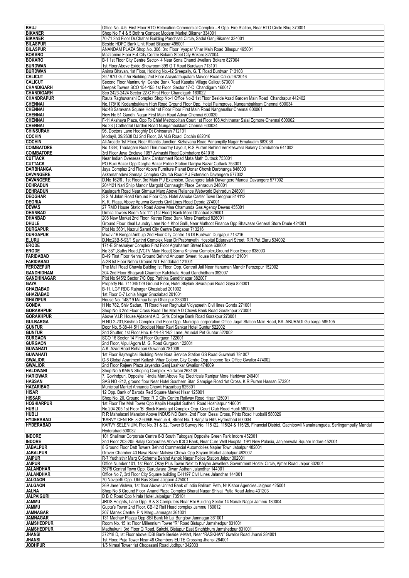| <b>BHUJ</b>                             | Office No. 4-5, First Floor RTO Relocation Commercial Complex -B Opp. Fire Station, Near RTO Circle Bhuj 370001                                                        |
|-----------------------------------------|------------------------------------------------------------------------------------------------------------------------------------------------------------------------|
| <b>BIKANER</b>                          | Shop No F 4 & 5 Bothra Compex Modern Market Bikaner 334001                                                                                                             |
| <b>BIKANER</b><br><b>BILASPUR</b>       | 70-71 2nd Floor Dr. Chahar Building Panchsati Circle, Sadul Ganj Bikaner 334001<br>Beside HDFC Bank Link Road Bilaspur 495001                                          |
| <b>BILASPUR</b>                         | ANANDAM PLAZA Shop. No. 306; 3rd Floor Vyapar Vihar Main Road Bilaspur 495001                                                                                          |
| <b>BOKARO</b>                           | Mazzanine Floor F-4 City Centre Bokaro Steel City Bokaro 827004                                                                                                        |
| <b>BOKARO</b><br><b>BURDWAN</b>         | B-1 1st Floor City Centre Sector- 4 Near Sona Chandi Jwellars Bokaro 827004                                                                                            |
| <b>BURDWAN</b>                          | 1st Floor Above Exide Showroom 399 G T Road Burdwan 713101<br>Anima Bhavan, 1st Floor, Holding No.-42 Sreepally, G. T. Road Burdwan 713103                             |
| <b>CALICUT</b>                          | 29 / 97G Gulf Air Building 2nd Floor Arayidathupalam Mavoor Road Calicut 673016                                                                                        |
| <b>CALICUT</b>                          | Second Floor, Manimuriyil Centre Bank Road Kasaba Village Calicut 673001                                                                                               |
| <b>CHANDIGARH</b><br>CHANDIGARH         | Deepak Towers SCO 154-155 1st Floor Sector 17-C Chandigarh 160017<br>Sco 2423-2424 Sector 22-C First Floor Chandigarh 160022                                           |
| <b>CHANDRAPUR</b>                       | Rauts Raghuvanshi Complex Shop No-1 Office No-2 1st Floor Beside Azad Garden Main Road Chandrapur 442402                                                               |
| <b>CHENNAI</b>                          | No.178/10 Kodambakkam High Road Ground Floor Opp. Hotel Palmgrove, Nungambakkam Chennai 600034                                                                         |
| <b>CHENNAI</b><br><b>CHENNAI</b>        | No:48 Saravana Square Hotel 1st Floor Floor First Main Road Nanganallur Chennai 600061<br>New No 51 Gandhi Nagar First Main Road Adyar Chennai 600020                  |
| <b>CHENNAI</b>                          | F-11 Akshaya Plaza, Opp To Chief Metropolitan Court 1st Floor 108 Adhithanar Salai Egmore Chennai 600002                                                               |
| <b>CHENNAI</b>                          | No 23   Cathedral Garden Road Nungambakkam Chennai 600034                                                                                                              |
| <b>CHINSURAH</b><br><b>COCHIN</b>       | 96, Doctors Lane Hooghly Dt Chinsurah 712101<br>Modayil, 39/2638 DJ 2nd Floor, 2A M.G Road Cochin 682016                                                               |
| <b>COCHIN</b>                           | Ali Arcade 1st Floor, Near Atlantis Junction Kizhavana Road Panampilly Nagar Ernakualm 682036                                                                          |
| <b>COIMBATORE</b>                       | No 1334; Thadagam Road Thirumoorthy Layout, R.S.Puram Behind Venkteswara Bakery Coimbatore 641002                                                                      |
| <b>COIMBATORE</b>                       | 3rd Floor Jaya Enclave 1057 Avinashi Road Coimbatore 641018                                                                                                            |
| <b>CUTTACK</b><br><b>CUTTACK</b>        | Near Indian Overseas Bank Cantonment Road Mata Math Cuttack 753001<br>PO Buxi Bazar Opp Dargha Bazar Police Station Dargha Bazar Cuttack 753001                        |
| <b>DARBHANGA</b>                        | Jaya Complex 2nd Floor Above Furniture Planet Donar Chowk Darbhanga 846003                                                                                             |
| DAVANGERE                               | Akkamahadevi Samaja Complex Church Road P J Extension Davangere 577002                                                                                                 |
| <b>DAVANGERE</b><br><b>DEHRADUN</b>     | D.No 162/6, 1st Floor, 3rd Main P J Extension, Davangere taluk Davangere Mandal Davangere 577002<br>204/121 Nari Shilp Mandir Margold Connaught Place Dehradun 248001  |
| <b>DEHRADUN</b>                         | Kaulagarh Road Near Sirmaur Marg Above Reliance Webworld Dehradun 248001                                                                                               |
| <b>DEOGHAR</b>                          | S S M Jalan Road Ground Floor Opp. Hotel Ashoke Caster Town Deoghar 814112                                                                                             |
| <b>DEORIA</b><br><b>DEWAS</b>           | K. K. Plaza, Above Apurwa Sweets Civil Lines Road Deoria 274001<br>27 RMO House Station Road Above Maa Chamunda Gas Agency Dewas 455001                                |
| DHANBAD                                 | Urmila Towers Room No: 111 (1st Floor) Bank More Dhanbad 826001                                                                                                        |
| DHANBAD                                 | 208 New Market 2nd Floor, Katras Road Bank More Dhanbad 826001                                                                                                         |
| <b>DHULE</b>                            | Ground Floor Ideal Laundry Lane No 4 Khol Galli, Near Muthoot Finance Opp Bhavasar General Store Dhule 424001                                                          |
| <b>DURGAPUR</b><br><b>DURGAPUR</b>      | Plot No 3601, Nazrul Sarani City Centre Durgapur 713216<br>Mwav-16 Bengal Ambuja 2nd Floor City Centre 16 Dt Burdwan Durgapur 713216                                   |
| <b>ELURU</b>                            | D.No:23B-5-93/1 Savithri Complex Near Dr.Prabhavathi Hospital Edaravari Street, R.R.Pet Eluru 534002                                                                   |
| <b>ERODE</b>                            | 171-E Sheshaiyer Complex First Floor Agraharam Street Erode 638001                                                                                                     |
| <b>ERODE</b><br><b>FARIDABAD</b>        | No 38/1, Sathy Road, (VCTV Main Road) Sorna Krishna Complex, Ground Floor Erode 638003<br>B-49 First Floor Nehru Ground Behind Anupam Sweet House Nit Faridabad 121001 |
| <b>FARIDABAD</b>                        | A-2B Ist Floor Nehru Ground NIT Faridabad 121001                                                                                                                       |
| <b>FEROZEPUR</b>                        | The Mall Road Chawla Bulding Ist Floor, Opp. Centrail Jail Near Hanuman Mandir Ferozepur 152002                                                                        |
| <b>GANDHIDHAM</b><br><b>GANDHINAGAR</b> | 204 2nd Floor Bhagwati Chamber Kutchkala Road Gandhidham 382007<br>Plot No 945/2 Sector 7/C Opp Pathika Gandhinagar 382007                                             |
| GAYA                                    | Property No. 711045129 Ground Floor, Hotel Skylark Swaraipuri Road Gaya 823001                                                                                         |
| <b>GHAZIABAD</b>                        | B-11, LGF RDC Rajnagar Ghaziabad 201002                                                                                                                                |
| <b>GHAZIABAD</b><br><b>GHAZIPUR</b>     | 1st Floor C-7 Lohia Nagar Ghaziabad 201001<br>House No. 148/19 Mahua bagh Ghazipur 233001                                                                              |
| <b>GONDA</b>                            | H No 782, Shiv Sadan, ITI Road Near Raghukul Vidyapeeth Civil lines Gonda 271001                                                                                       |
| <b>GORAKHPUR</b>                        | Shop No 3 2nd Floor Cross Road The Mall A D Chowk Bank Road Gorakhpur 273001<br>Above V.I.P. House Ajdacent A.D. Girls College Bank Road Gorakpur 273001               |
| <b>GORAKHPUR</b><br><b>GULBARGA</b>     | H NO 2-231, Krishna Complex 2nd Floor Opp. Municipal corporation Office Jagat Station Main Road, KALABURAGI Gulbarga 585105                                            |
| <b>GUNTUR</b>                           | Door No. 5-38-44 5/1 Brodipet Near Ravi Sankar Hotel Guntur 522002                                                                                                     |
| <b>GUNTUR</b>                           | 2nd Shutter, 1st Floor, Hno. 6-14-48 14/2 Lane, Arundal Pet Guntur 522002                                                                                              |
| <b>GURGAON</b><br><b>GURGAON</b>        | SCO 16 Sector 14 First Floor Gurgaon 122001<br>2nd Floor, Vipul Agora M. G. Road Gurgaon 122001                                                                        |
| <b>GUWAHATI</b>                         | A.K. Azad Road Rehabari Guwahati 781008                                                                                                                                |
| <b>GUWAHATI</b>                         | 1st Floor Bajrangbali Building Near Bora Service Station GS Road Guwahati 781007                                                                                       |
| <b>GWALIOR</b><br><b>GWALIOR</b>        | G-6 Global Apartment Kailash Vihar Colony, City Centre Opp. Income Tax Office Gwalior 474002<br>2nd Floor Rajeev Plaza Jayendra Ganj Lashkar Gwalior 474009            |
| <b>HALDWANI</b>                         | Shop No 5 KMVN Shoping Complex Haldwani 263139                                                                                                                         |
| <b>HARIDWAR</b>                         | 7, Govindpuri, Opposite 1-india Mart Above Raj Electricals Ranipur More Haridwar 249401                                                                                |
| <b>HASSAN</b><br><b>HAZARIBAG</b>       | SAS NO -212, ground floor Near Hotel Southern Star Sampige Road 1st Cross, K.R.Puram Hassan 573201<br>Municipal Market Annanda Chowk Hazaribag 825301                  |
| HISAR                                   | 12 Opp. Bank of Baroda Red Square Market Hisar 125001                                                                                                                  |
| <b>HISSAR</b>                           | Shop No. 20, Ground Floor, R D City Centre Railway Road Hisar 125001                                                                                                   |
| <b>HOSHIARPUR</b><br>HUBLI              | 1st Floor The Mall Tower Opp Kapila Hospital Sutheri Road Hoshiarpur 146001<br>No.204 205 1st Floor 'B' Block Kundagol Complex Opp. Court Club Road Hubli 580029       |
| HUBLI                                   | R R Mahalaxmi Mansion Above INDUSIND Bank, 2nd Floor Desai Cross, Pinto Road Hubballi 580029                                                                           |
| <b>HYDERABAD</b>                        | 'KARVY CENTRE' 8-2-609/K Avenue 4, Street No. 1 Banjara Hills Hyderabad 500034                                                                                         |
| <b>HYDERABAD</b>                        | KARVY SELENIUM, Plot No. 31 & 32, Tower B Survey No. 115 /22, 115/24 & 115/25, Financial District, Gachibowli Nanakramguda, Serlingampally Mandal<br>Hyderabad 500032  |
| <b>INDORE</b>                           | 101 Shalimar Corporate Centre 8-B South Tukoganj Opposite Green Park Indore 452001                                                                                     |
| <b>INDORE</b>                           | 2nd Floor 203-205 Balaji Corporates Above ICICI Bank, Near Cure Well Hospital 19/1 New Palasia, Janjeerwala Square Indore 452001                                       |
| <b>JABALPUR</b><br><b>JABALPUR</b>      | 8 Ground Floor Datt Towers Behind Commercial Automobiles Napier Town Jabalpur 482001<br>Grover Chamber 43 Naya Bazar Malviya Chowk Opp Shyam Market Jabalpur 482002    |
| <b>JAIPUR</b>                           | R-7 Yudhisthir Marg C-Scheme Behind Ashok Nagar Police Station Jaipur 302001                                                                                           |
| <b>JAIPUR</b>                           | Office Number 101, 1st Floor, Okay Plus Tower Next to Kalyan Jewellers Government Hostel Circle, Ajmer Road Jaipur 302001                                              |
| <b>JALANDHAR</b><br><b>JALANDHAR</b>    | 367/8 Central Town Opp. Gurudwara Diwan Asthan Jalandhar 144001<br>Office No 7, 3rd Floor City Square building E-H197 Civil Lines Jalandhar 144001                     |
| <b>JALGAON</b>                          | 70 Navipeth Opp. Old Bus Stand Jalgaon 425001                                                                                                                          |
| <b>JALGAON</b>                          | 269 Jaee Vishwa, 1st floor Above United Bank of India Baliram Peth, Nr Kishor Agencies Jalgaon 425001                                                                  |
| <b>JALNA</b><br><b>JALPAIGURI</b>       | Shop No 6 Ground Floor Anand Plaza Complex Bharat Nagar Shivaji Putla Road Jalna 431203<br>D B C Road Opp Nirala Hotel Jalpaiguri 735101                               |
| <b>JAMMU</b>                            | JRDS Heights, Lane Opp. S & S Computers Near Rbi Building Sector 14 Nanak Nagar Jammu 180004                                                                           |
| <b>JAMMU</b>                            | Gupta's Tower 2nd Floor, CB-12 Rail Head complex Jammu 180012                                                                                                          |
| <b>JAMNAGAR</b>                         | 207 Manek Centre P N Marg Jamnagar 361001                                                                                                                              |
| <b>JAMNAGAR</b><br><b>JAMSHEDPUR</b>    | 131 Madhav Plazza Opp SBI Bank Nr Lal Bunglow Jamnagar 361001<br>Room No. 15 Ist Floor Millennium Tower "R" Road Bistupur Jamshedpur 831001                            |
| <b>JAMSHEDPUR</b>                       | Madhukunj, 3rd Floor Q Road, Sakchi, Bistupur East Singhbhum Jamshedpur 831001                                                                                         |
| JHANSI<br>JHANSI                        | 372/18 D, Ist Floor above IDBI Bank Beside V-Mart, Near "RASKHAN" Gwalior Road Jhansi 284001<br>1st Floor, Puja Tower Near 48 Chambers ELITE Crossing Jhansi 284001    |
|                                         | 1/5 Nirmal Tower 1st Chopasani Road Jodhpur 342003                                                                                                                     |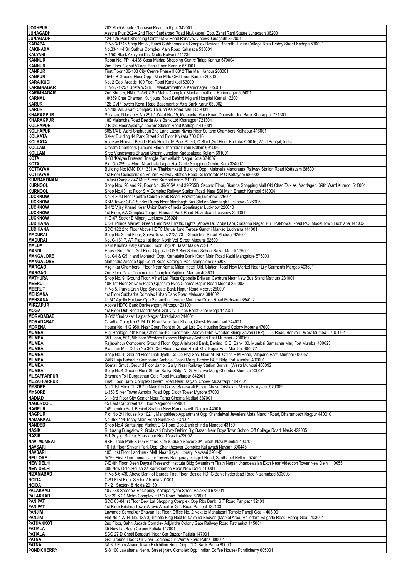| <b>JODHPUR</b>                        | 203 Modi Arcade Chopasni Road Jodhpur 342001                                                                                                                                                                             |
|---------------------------------------|--------------------------------------------------------------------------------------------------------------------------------------------------------------------------------------------------------------------------|
| <b>JUNAGADH</b>                       | Aastha Plus 202-A 2nd Floor Sardarbag Road Nr.Alkapuri Opp. Zansi Rani Statue Junagadh 362001                                                                                                                            |
| <b>JUNAGADH</b>                       | 124-125 Punit Shopping Center M.G Road Ranavav Chowk Junagadh 362001                                                                                                                                                     |
| <b>KADAPA</b>                         | D.No:3/1718 Shop No: 8, Bandi Subbaramaiah Complex Besides Bharathi Junior College Raja Reddy Street Kadapa 516001                                                                                                       |
| <b>KAKINADA</b>                       | No.33-1 44 Sri Sathya Complex Main Road Kakinada 533001                                                                                                                                                                  |
| KALYANI                               | A-1/50 Block Akalyani Dist Nadia Kalyani 741235                                                                                                                                                                          |
| <b>KANNUR</b>                         | Room No. PP 14/435 Casa Marina Shopping Centre Talap Kannur 670004                                                                                                                                                       |
| <b>KANNUR</b>                         | 2nd Floor Global Village Bank Road Kannur 670001                                                                                                                                                                         |
| <b>KANPUR</b>                         | First Floor 106-108 City Centre Phase II 63/2 The Mall Kanpur 208001                                                                                                                                                     |
| <b>KANPUR</b>                         | 15/46 B Ground Floor Opp : Muir Mills Civil Lines Kanpur 208001                                                                                                                                                          |
| <b>KARAIKUDI</b><br><b>KARIMNAGAR</b> | No. 2 Gopi Arcade 100 Feet Road Karaikudi 630001<br>H.No.7-1-257 Upstairs S.B.H Mankammathota Karimnagar 505001                                                                                                          |
| <b>KARIMNAGAR</b>                     | 2nd Shutter, HNo. 7-2-607 Sri Matha Complex Mankammathota Karimnagar 505001                                                                                                                                              |
| <b>KARNAL</b>                         | 18/369 Char Chaman Kunipura Road Behind Miglani Hospital Karnal 132001                                                                                                                                                   |
| <b>KARUR</b>                          | 126 GVP Towers Kovai Road Basement of Axis Bank Karur 639002                                                                                                                                                             |
| <b>KARUR</b>                          | No.108 Arulsivam Complex Thiru Vi Ka Road Karur 639001                                                                                                                                                                   |
| <b>KHARAGPUR</b>                      | Shivhare Niketan H.No.291/1 Ward No-15, Malancha Main Road Opposite Uco Bank Kharagpur 721301                                                                                                                            |
| <b>KHARAGPUR</b>                      | 180 Malancha Road Beside Axis Bank Ltd Kharagpur 721304                                                                                                                                                                  |
| <b>KOLHAPUR</b>                       | 2 B 3rd Floor Ayodhya Towers Station Road Kolhapur 416001                                                                                                                                                                |
| <b>KOLHAPUR</b>                       | 605/1/4 E Ward Shahupuri 2nd Lane Laxmi Niwas Near Sultane Chambers Kolhapur 416001                                                                                                                                      |
| <b>KOLKATA</b>                        | Saket Building 44 Park Street 2nd Floor Kolkata 700 016                                                                                                                                                                  |
| <b>KOLKATA</b>                        | Apeejay House (Beside Park Hotel) 15 Park Street, C Block, 3rd Floor Kolkata-700016, West Bengal, India                                                                                                                  |
| <b>KOLLAM</b>                         | Uthram Chambers (Ground Floor) Thamarakulam Kollam 691006                                                                                                                                                                |
| <b>KOLLAM</b>                         | Sree Vigneswara Bhavan Shastri Junction Kadapakada Kollam 691001                                                                                                                                                         |
| KOTA                                  | B-33 'Kalyan Bhawan' Triangle Part Vallabh Nagar Kota 324007                                                                                                                                                             |
| <b>KOTA</b>                           | Plot No:259 Ist Floor Near Lala Lajpat Rai Circle Shopping Centre Kota 324007                                                                                                                                            |
| <b>KOTTAYAM</b><br><b>KOTTAYAM</b>    | Building No: KMC IX / 1331 A, Thekkumkattil Building Opp.: Malayala Manorama Railway Station Road Kottayam 686001<br>1st Floor Csiascension Square Railway Station Road Collectorate P O Kottayam 686002                 |
| <b>KUMBAKONAM</b>                     | Jailani Complex 47 Mutt Street Kumbakonam 612001                                                                                                                                                                         |
| <b>KURNOOL</b>                        | Shop Nos. 26 and 27, Door No. 39/265A and 39/265B Second Floor, Skanda Shopping Mall Old Chad Talkies, Vaddageri, 39th Ward Kurnool 518001                                                                               |
| <b>KURNOOL</b>                        | Shop No.43 1st Floor S V Complex Railway Station Road Near SBI Main Branch Kurnool 518004                                                                                                                                |
| <b>LUCKNOW</b>                        | No. 4 First Floor Centre Court 5 Park Road, Hazratganj Lucknow 226001                                                                                                                                                    |
| <b>LUCKNOW</b>                        | KSM Tower CP-1 Sinder Dump Near Alambagh Bus Station Alambagh Lucknow - 226005                                                                                                                                           |
| <b>LUCKNOW</b>                        | B-1/2 Vijay Khand Near Union Bank of India Gomtinagar Lucknow 226010                                                                                                                                                     |
| <b>LUCKNOW</b>                        | 1st Floor, A A Complex Thaper House 5 Park Road, Hazratganj Lucknow 226001                                                                                                                                               |
| <b>LUCKNOW</b>                        | HIG-67 Sector E Aliganj Lucknow 226024                                                                                                                                                                                   |
| <b>LUDHIANA</b>                       | U/GF Prince Market, Green Field Near Traffic Lights (Above Dr. Virdis Lab), Sarabha Nagar, Pulli Pakhowal Road P.O. Model Town Ludhiana 141002                                                                           |
| <b>LUDHIANA</b>                       | SCO 122 2nd Floor Above HDFC Mutual fund Feroze Gandhi Market Ludhiana 141001                                                                                                                                            |
| <b>MADURAI</b>                        | Shop No 3 2nd Floor, Suriya Towers 272/273 - Goodshed Street Madurai 625001                                                                                                                                              |
| <b>MADURAI</b>                        | No. G-16/17, AR Plaza 1st floor, North Veli Street Madurai 625001                                                                                                                                                        |
| MALDA                                 | Ram Krishna Pally Ground Floor English Bazar Malda 732101                                                                                                                                                                |
| <b>MANDI</b>                          | House No. 99/11, 3rd Floor Opposite GSS Boy School School Bazar Mandi 175001                                                                                                                                             |
| <b>MANGALORE</b><br>MANGALORE         | No. G4 & G5 Inland Monarch Opp. Karnataka Bank Kadri Main Road Kadri Mangalore 575003<br>Mahendra Arcade Opp Court Road Karangal Padi Mangalore 575003                                                                   |
| <b>MARGAO</b>                         | Virginkar Chambers I Floor Near Kamat Milan Hotel, Old. Station Road New Market Near Lily Garments Margao 403601                                                                                                         |
| <b>MARGAO</b>                         | 2nd Floor Dalal Commercial Complex Pajifond Margao 403601                                                                                                                                                                |
| <b>MATHURA</b>                        | Shop No. 9, Ground Floor, Vihari Lal Plaza Opposite Brijwasi Centrum Near New Bus Stand Mathura 281001                                                                                                                   |
| <b>MEERUT</b>                         | 108 1st Floor Shivam Plaza Opposite Eves Cinema Hapur Road Meerut 250002                                                                                                                                                 |
| <b>MEERUT</b>                         | H No 5, Purva Eran Opp Syndicate Bank Hapur Road Meerut 250001                                                                                                                                                           |
| <b>MEHSANA</b>                        | 1st Floor Subhadra Complex Urban Bank Road Mehsana 384002                                                                                                                                                                |
| <b>MEHSANA</b>                        | UL/47 Apollo Enclave Opp Simandhar Temple Modhera Cross Road Mehsana 384002                                                                                                                                              |
| <b>MIRZAPUR</b>                       | Above HDFC Bank Dankeenganj Mirzapur 231001                                                                                                                                                                              |
| <b>MOGA</b>                           | 1st Floor Dutt Road Mandir Wali Gali Civil Lines Barat Ghar Moga 142001                                                                                                                                                  |
| <b>MORADABAD</b>                      | B-612 'Sudhakar' Lajpat Nagar Moradabad 244001                                                                                                                                                                           |
| <b>MORADABAD</b>                      | Chadha Complex G. M. D. Road Near Tadi Khana, Chowk Moradabad 244001                                                                                                                                                     |
| <b>MORENA</b>                         | House No. HIG 959, Near Court Front of Dr. Lal Lab Old Housing Board Colony Morena 476001                                                                                                                                |
| <b>MUMBAI</b><br><b>MUMBAI</b>        | Hirji Heritage, 4th Floor, Office no 402 Landmark : Above Tribhuwandas Bhimji Zaveri (TBZ) L.T. Road, Borivali - West Mumbai - 400 092<br>351, Icon, 501, 5th floor Western Express Highway Andheri East Mumbai - 400069 |
| <b>MUMBAI</b>                         | Rajabahdur Compound Ground Floor Opp Allahabad Bank, Behind ICICI Bank 30. Mumbai Samachar Mar, Fort Mumbai 400023                                                                                                       |
| <b>MUMBAI</b>                         | Platinum Mall Office No.307, 3rd Floor Jawahar Road, Ghatkopar East Mumbai 400077                                                                                                                                        |
| <b>MUMBAI</b>                         | Shop No. 1, Ground Floor Dipti Jyothi Co Op Hsq Soc, Near MTNL Office P M Road, Vileparle East Mumbai 400057                                                                                                             |
| <b>MUMBAI</b>                         | 24/B Raja Bahadur Compound Ambalal Doshi Marg, Behind BSE Bldg Fort Mumbai 400001                                                                                                                                        |
| <b>MUMBAI</b>                         | Gomati Smuti, Ground Floor Jambli Gully, Near Railway Station Borivali (West) Mumbai 400092                                                                                                                              |
| <b>MUMBAI</b>                         | Shop No.4 Ground Floor Shram Saflya Bldg, N. G. Acharya Marg Chembur Mumbai 400071                                                                                                                                       |
| <b>MUZAFFARPUR</b>                    | Brahman Toli Durgasthan Gola Road Muzaffarpur 842001                                                                                                                                                                     |
| <b>MUZAFFARPUR</b>                    | First Floor, Saroj Complex Diwam Road Near Kalyani Chowk Muzaffarpur 842001                                                                                                                                              |
| <b>MYSORE</b>                         | No.1 1st Floor Ch.26 7th Main 5th Cross, Saraswati Puram Above Trishakthi Medicals Mysore 570009                                                                                                                         |
| <b>MYSORE</b><br>NADIAD               | L-350 Silver Tower Ashoka Road Opp.Clock Tower Mysore 570001<br>311-3rd Floor City Center Near Paras Cinema Nadiad 387001                                                                                                |
| <b>NAGERCOIL</b>                      | 45 East Car Street 1st Floor Nagercoil 629001                                                                                                                                                                            |
| <b>NAGPUR</b>                         | 145 Lendra Park Behind Shabari New Ramdaspeth Nagpur 440010                                                                                                                                                              |
| <b>NAGPUR</b>                         | Plot No 2/1 House No 102/1, Mangaldeep Appartment Opp Khandelwal Jewelers Mata Mandir Road, Dharampeth Nagpur 440010                                                                                                     |
| NAMAKKAL                              | No 352/144 Trichy Main Road Namakkal 637001                                                                                                                                                                              |
| <b>NANDED</b>                         | Shop No.4 Santakripa Market G G Road Opp.Bank of India Nanded 431601                                                                                                                                                     |
| NASIK                                 | Ruturang Bungalow 2, Godavari Colony Behind Big Bazar, Near Boys Town School Off College Road Nasik 422005                                                                                                               |
| <b>NASIK</b>                          | F-1 Suyojit Sankul Sharanpur Road Nasik 422002                                                                                                                                                                           |
| <b>NAVI MUMBAI</b>                    | BSEL Tech Park B-505 Plot no 39/5 & 39/5A Sector 30A, Vashi Navi Mumbai 400705                                                                                                                                           |
| <b>NAVSARI</b>                        | 16 1st Floor Shivani Park Opp. Shankheswar Complex Kaliawadi Navsari 396445                                                                                                                                              |
| <b>NAVSARI</b>                        | 103, 1st Floor Landmark Mall Near Sayaji Library Navsari 396445                                                                                                                                                          |
| <b>NELLORE</b>                        | 9/756 First Floor Immadisetty Towers Ranganayakulapet Road, Santhapet Nellore 524001                                                                                                                                     |
| <b>NEW DELHI</b>                      | 7-E 4th Floor, Deen Dayaal Research Institute Bldg Swamiram Tirath Nagar, Jhandewalan Extn Near Videocon Tower New Delhi 110055                                                                                          |
| <b>NEW DELHI</b><br>NIZAMABAD         | 305 New Delhi House 27 Barakhamba Road New Delhi 110001<br>H No:5-6-430 Above Bank of Baroda First Floor, Beside HDFC Bank Hyderabad Road Nizamabad 503003                                                               |
| NOIDA                                 | C-81 First Floor Sector 2 Noida 201301                                                                                                                                                                                   |
| NOIDA                                 | F - 21 Sector-18 Noida 201301                                                                                                                                                                                            |
| PALAKKAD                              | 10 / 688 Sreedevi Residency Mettupalayam Street Palakkad 678001                                                                                                                                                          |
| PALAKKAD                              | No: 20 & 21 Metro Complex H.P.O.Road Palakkad 678001                                                                                                                                                                     |
| <b>PANIPAT</b>                        | SCO 83-84 Ist Floor Devi Lal Shopping Complex Opp Rbs Bank, G T Road Panipat 132103                                                                                                                                      |
| <b>PANIPAT</b>                        | 1st Floor Krishna Tower Above Amertex G.T. Road Panipat 132103                                                                                                                                                           |
| PANJIM                                | Lawande Sarmalkar Bhavan 1st Floor, Office No. 2 Next to Mahalaxmi Temple Panaji Goa - 403 001                                                                                                                           |
| PANJIM                                | Flat No.1-A, H. No. 13/70, Timotio Bldg Next to Navhind Bhavan (Market Area) Heliodoro Salgado Road, Panaji Goa - 403001                                                                                                 |
| <b>PATHANKOT</b>                      | 2nd Floor, Sahni Arcade Complex Adj. Indra Colony Gate Railway Road Pathankot 145001                                                                                                                                     |
| PATIALA                               | 35 New Lal Bagh Colony Patiala 147001                                                                                                                                                                                    |
| <b>PATIALA</b>                        | SCO 27 D Chotti Baradari Near Car Bazaar Patiala 147001                                                                                                                                                                  |
| <b>PATNA</b>                          | G-3 Ground Floor Om Vihar Complex SP Verma Road Patna 800001                                                                                                                                                             |
| <b>PATNA</b><br><b>PONDICHERRY</b>    | 3A 3rd Floor Anand Tower Exhibition Road Opp ICICI Bank Patna 800001                                                                                                                                                     |
|                                       | S-8 100 Jawaharlal Nehru Street (New Complex Opp. Indian Coffee House) Pondicherry 605001                                                                                                                                |